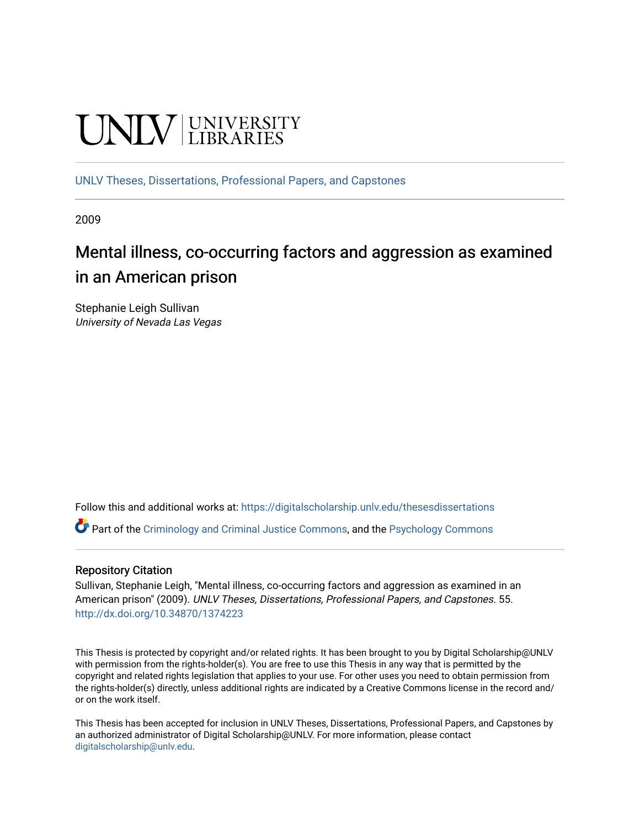# **UNIVERSITY**

[UNLV Theses, Dissertations, Professional Papers, and Capstones](https://digitalscholarship.unlv.edu/thesesdissertations)

2009

# Mental illness, co-occurring factors and aggression as examined in an American prison

Stephanie Leigh Sullivan University of Nevada Las Vegas

Follow this and additional works at: [https://digitalscholarship.unlv.edu/thesesdissertations](https://digitalscholarship.unlv.edu/thesesdissertations?utm_source=digitalscholarship.unlv.edu%2Fthesesdissertations%2F55&utm_medium=PDF&utm_campaign=PDFCoverPages)

Part of the [Criminology and Criminal Justice Commons](http://network.bepress.com/hgg/discipline/367?utm_source=digitalscholarship.unlv.edu%2Fthesesdissertations%2F55&utm_medium=PDF&utm_campaign=PDFCoverPages), and the [Psychology Commons](http://network.bepress.com/hgg/discipline/404?utm_source=digitalscholarship.unlv.edu%2Fthesesdissertations%2F55&utm_medium=PDF&utm_campaign=PDFCoverPages) 

### Repository Citation

Sullivan, Stephanie Leigh, "Mental illness, co-occurring factors and aggression as examined in an American prison" (2009). UNLV Theses, Dissertations, Professional Papers, and Capstones. 55. <http://dx.doi.org/10.34870/1374223>

This Thesis is protected by copyright and/or related rights. It has been brought to you by Digital Scholarship@UNLV with permission from the rights-holder(s). You are free to use this Thesis in any way that is permitted by the copyright and related rights legislation that applies to your use. For other uses you need to obtain permission from the rights-holder(s) directly, unless additional rights are indicated by a Creative Commons license in the record and/ or on the work itself.

This Thesis has been accepted for inclusion in UNLV Theses, Dissertations, Professional Papers, and Capstones by an authorized administrator of Digital Scholarship@UNLV. For more information, please contact [digitalscholarship@unlv.edu](mailto:digitalscholarship@unlv.edu).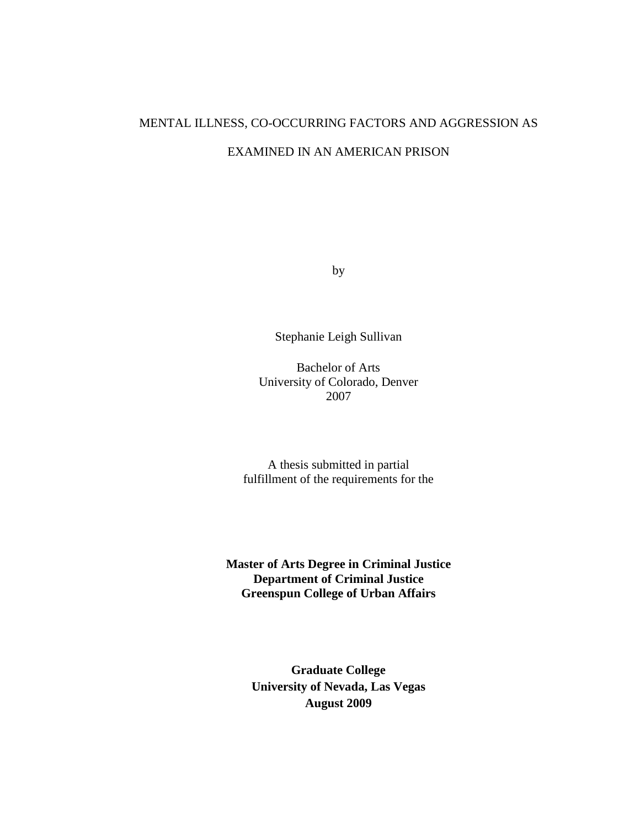# MENTAL ILLNESS, CO-OCCURRING FACTORS AND AGGRESSION AS EXAMINED IN AN AMERICAN PRISON

by

Stephanie Leigh Sullivan

Bachelor of Arts University of Colorado, Denver 2007

A thesis submitted in partial fulfillment of the requirements for the

**Master of Arts Degree in Criminal Justice Department of Criminal Justice Greenspun College of Urban Affairs** 

> **Graduate College University of Nevada, Las Vegas August 2009**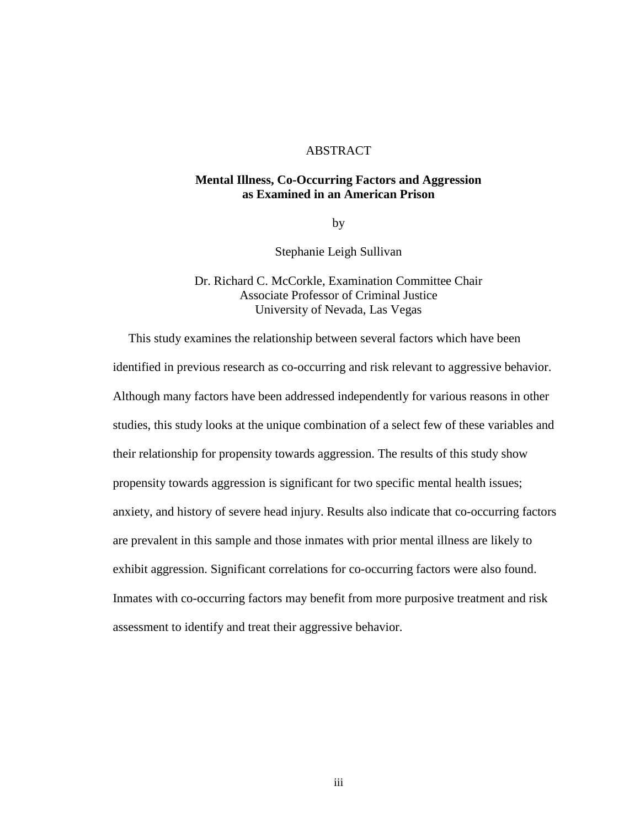### ABSTRACT

### **Mental Illness, Co-Occurring Factors and Aggression as Examined in an American Prison**

by

Stephanie Leigh Sullivan

Dr. Richard C. McCorkle, Examination Committee Chair Associate Professor of Criminal Justice University of Nevada, Las Vegas

 This study examines the relationship between several factors which have been identified in previous research as co-occurring and risk relevant to aggressive behavior. Although many factors have been addressed independently for various reasons in other studies, this study looks at the unique combination of a select few of these variables and their relationship for propensity towards aggression. The results of this study show propensity towards aggression is significant for two specific mental health issues; anxiety, and history of severe head injury. Results also indicate that co-occurring factors are prevalent in this sample and those inmates with prior mental illness are likely to exhibit aggression. Significant correlations for co-occurring factors were also found. Inmates with co-occurring factors may benefit from more purposive treatment and risk assessment to identify and treat their aggressive behavior.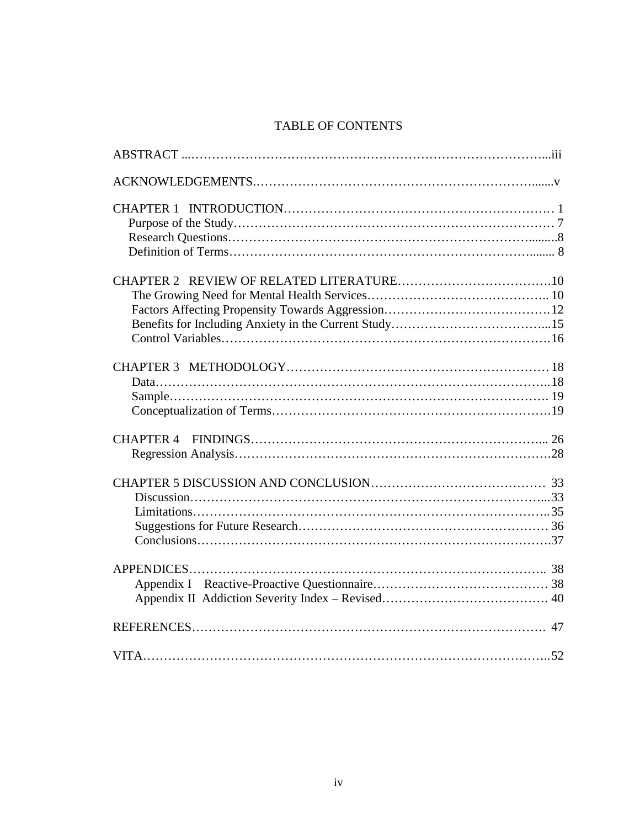### TABLE OF CONTENTS

| <b>CHAPTER 4</b> |
|------------------|
|                  |
|                  |
|                  |
|                  |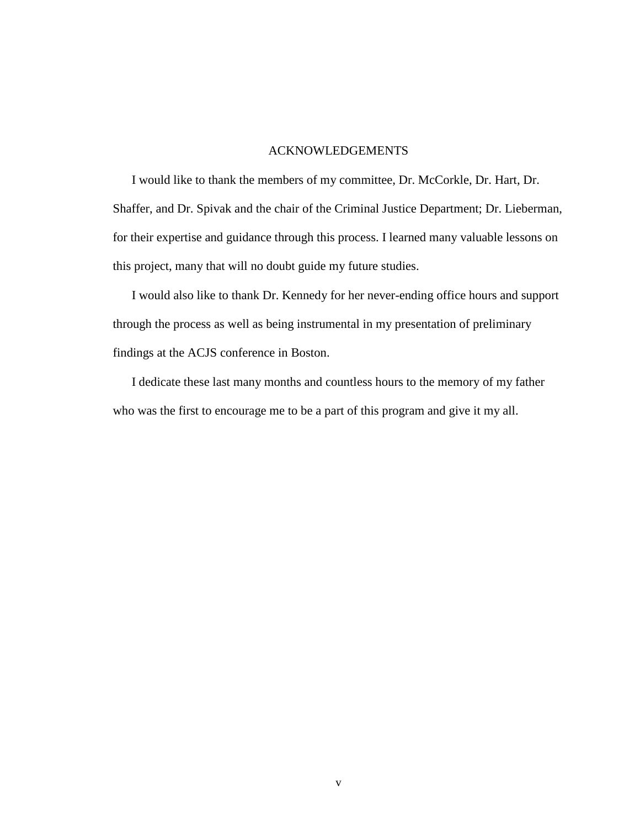### ACKNOWLEDGEMENTS

 I would like to thank the members of my committee, Dr. McCorkle, Dr. Hart, Dr. Shaffer, and Dr. Spivak and the chair of the Criminal Justice Department; Dr. Lieberman, for their expertise and guidance through this process. I learned many valuable lessons on this project, many that will no doubt guide my future studies.

 I would also like to thank Dr. Kennedy for her never-ending office hours and support through the process as well as being instrumental in my presentation of preliminary findings at the ACJS conference in Boston.

 I dedicate these last many months and countless hours to the memory of my father who was the first to encourage me to be a part of this program and give it my all.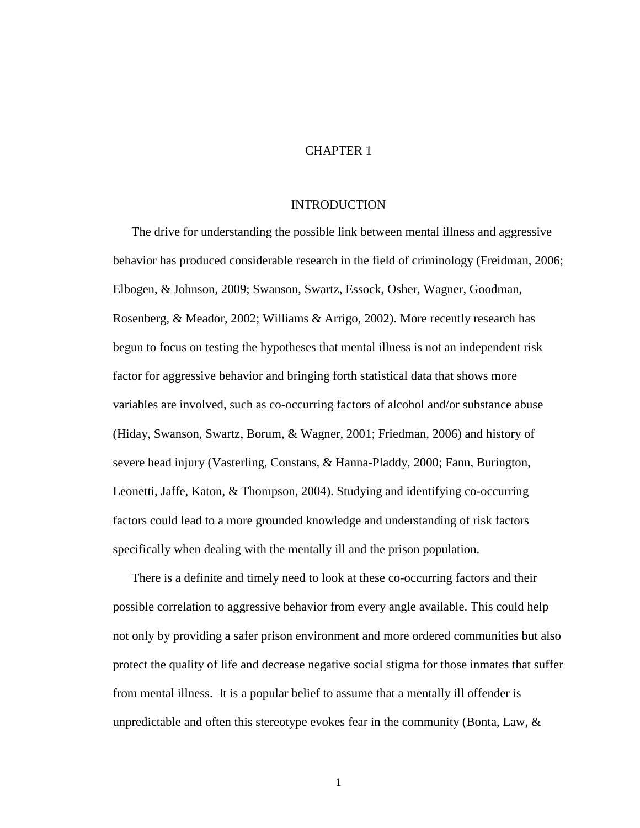### CHAPTER 1

#### **INTRODUCTION**

The drive for understanding the possible link between mental illness and aggressive behavior has produced considerable research in the field of criminology (Freidman, 2006; Elbogen, & Johnson, 2009; Swanson, Swartz, Essock, Osher, Wagner, Goodman, Rosenberg, & Meador, 2002; Williams & Arrigo, 2002). More recently research has begun to focus on testing the hypotheses that mental illness is not an independent risk factor for aggressive behavior and bringing forth statistical data that shows more variables are involved, such as co-occurring factors of alcohol and/or substance abuse (Hiday, Swanson, Swartz, Borum, & Wagner, 2001; Friedman, 2006) and history of severe head injury (Vasterling, Constans, & Hanna-Pladdy, 2000; Fann, Burington, Leonetti, Jaffe, Katon, & Thompson, 2004). Studying and identifying co-occurring factors could lead to a more grounded knowledge and understanding of risk factors specifically when dealing with the mentally ill and the prison population.

There is a definite and timely need to look at these co-occurring factors and their possible correlation to aggressive behavior from every angle available. This could help not only by providing a safer prison environment and more ordered communities but also protect the quality of life and decrease negative social stigma for those inmates that suffer from mental illness. It is a popular belief to assume that a mentally ill offender is unpredictable and often this stereotype evokes fear in the community (Bonta, Law,  $\&$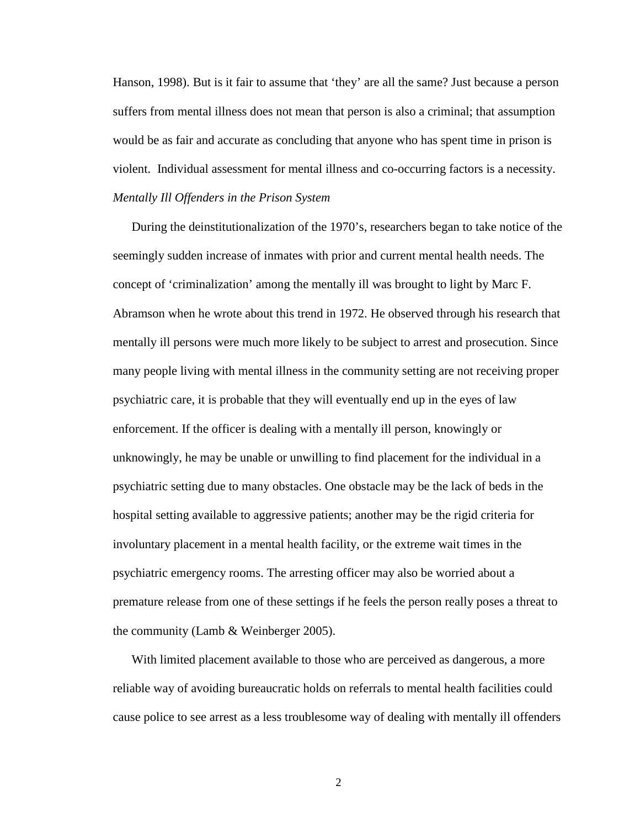Hanson, 1998). But is it fair to assume that 'they' are all the same? Just because a person suffers from mental illness does not mean that person is also a criminal; that assumption would be as fair and accurate as concluding that anyone who has spent time in prison is violent. Individual assessment for mental illness and co-occurring factors is a necessity. *Mentally Ill Offenders in the Prison System* 

During the deinstitutionalization of the 1970's, researchers began to take notice of the seemingly sudden increase of inmates with prior and current mental health needs. The concept of 'criminalization' among the mentally ill was brought to light by Marc F. Abramson when he wrote about this trend in 1972. He observed through his research that mentally ill persons were much more likely to be subject to arrest and prosecution. Since many people living with mental illness in the community setting are not receiving proper psychiatric care, it is probable that they will eventually end up in the eyes of law enforcement. If the officer is dealing with a mentally ill person, knowingly or unknowingly, he may be unable or unwilling to find placement for the individual in a psychiatric setting due to many obstacles. One obstacle may be the lack of beds in the hospital setting available to aggressive patients; another may be the rigid criteria for involuntary placement in a mental health facility, or the extreme wait times in the psychiatric emergency rooms. The arresting officer may also be worried about a premature release from one of these settings if he feels the person really poses a threat to the community (Lamb & Weinberger 2005).

With limited placement available to those who are perceived as dangerous, a more reliable way of avoiding bureaucratic holds on referrals to mental health facilities could cause police to see arrest as a less troublesome way of dealing with mentally ill offenders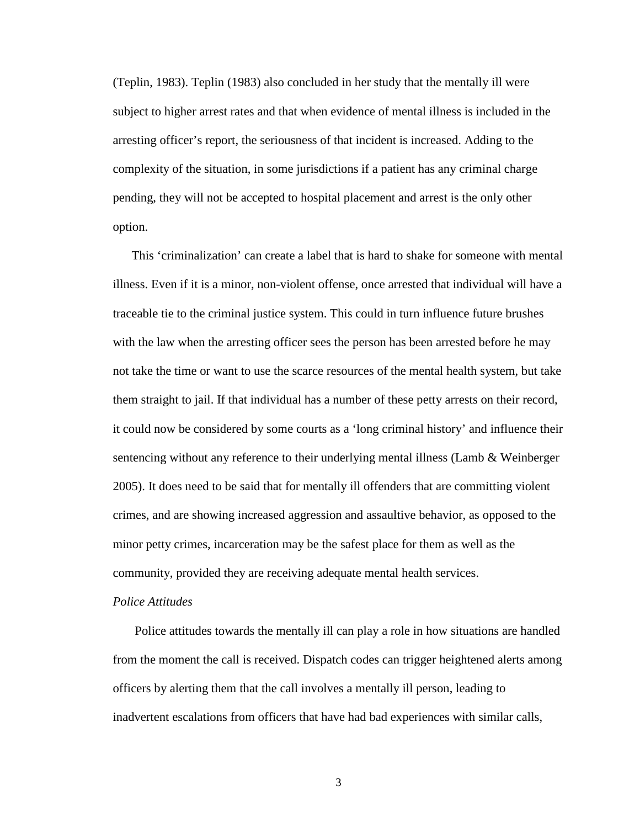(Teplin, 1983). Teplin (1983) also concluded in her study that the mentally ill were subject to higher arrest rates and that when evidence of mental illness is included in the arresting officer's report, the seriousness of that incident is increased. Adding to the complexity of the situation, in some jurisdictions if a patient has any criminal charge pending, they will not be accepted to hospital placement and arrest is the only other option.

This 'criminalization' can create a label that is hard to shake for someone with mental illness. Even if it is a minor, non-violent offense, once arrested that individual will have a traceable tie to the criminal justice system. This could in turn influence future brushes with the law when the arresting officer sees the person has been arrested before he may not take the time or want to use the scarce resources of the mental health system, but take them straight to jail. If that individual has a number of these petty arrests on their record, it could now be considered by some courts as a 'long criminal history' and influence their sentencing without any reference to their underlying mental illness (Lamb & Weinberger 2005). It does need to be said that for mentally ill offenders that are committing violent crimes, and are showing increased aggression and assaultive behavior, as opposed to the minor petty crimes, incarceration may be the safest place for them as well as the community, provided they are receiving adequate mental health services.

### *Police Attitudes*

 Police attitudes towards the mentally ill can play a role in how situations are handled from the moment the call is received. Dispatch codes can trigger heightened alerts among officers by alerting them that the call involves a mentally ill person, leading to inadvertent escalations from officers that have had bad experiences with similar calls,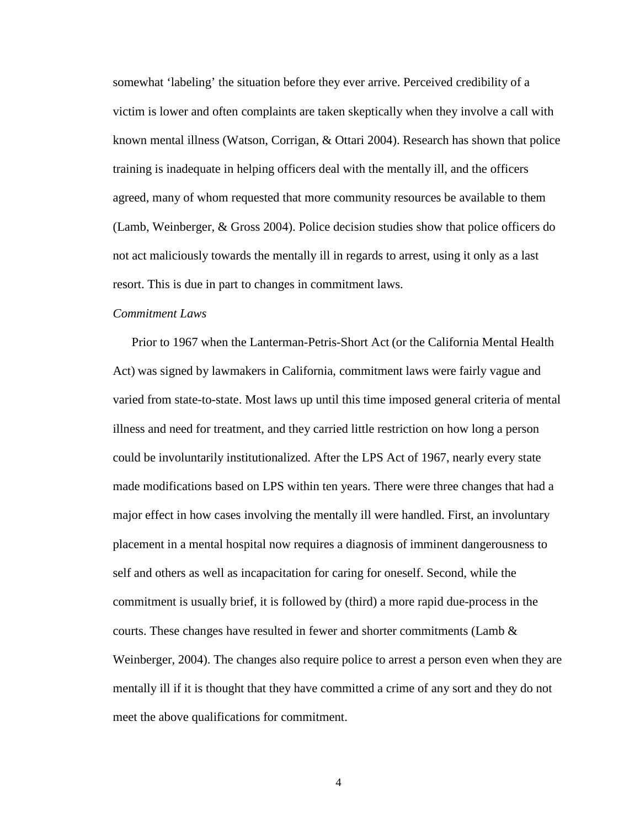somewhat 'labeling' the situation before they ever arrive. Perceived credibility of a victim is lower and often complaints are taken skeptically when they involve a call with known mental illness (Watson, Corrigan, & Ottari 2004). Research has shown that police training is inadequate in helping officers deal with the mentally ill, and the officers agreed, many of whom requested that more community resources be available to them (Lamb, Weinberger, & Gross 2004). Police decision studies show that police officers do not act maliciously towards the mentally ill in regards to arrest, using it only as a last resort. This is due in part to changes in commitment laws.

### *Commitment Laws*

Prior to 1967 when the Lanterman-Petris-Short Act (or the California Mental Health Act) was signed by lawmakers in California, commitment laws were fairly vague and varied from state-to-state. Most laws up until this time imposed general criteria of mental illness and need for treatment, and they carried little restriction on how long a person could be involuntarily institutionalized. After the LPS Act of 1967, nearly every state made modifications based on LPS within ten years. There were three changes that had a major effect in how cases involving the mentally ill were handled. First, an involuntary placement in a mental hospital now requires a diagnosis of imminent dangerousness to self and others as well as incapacitation for caring for oneself. Second, while the commitment is usually brief, it is followed by (third) a more rapid due-process in the courts. These changes have resulted in fewer and shorter commitments (Lamb  $\&$ Weinberger, 2004). The changes also require police to arrest a person even when they are mentally ill if it is thought that they have committed a crime of any sort and they do not meet the above qualifications for commitment.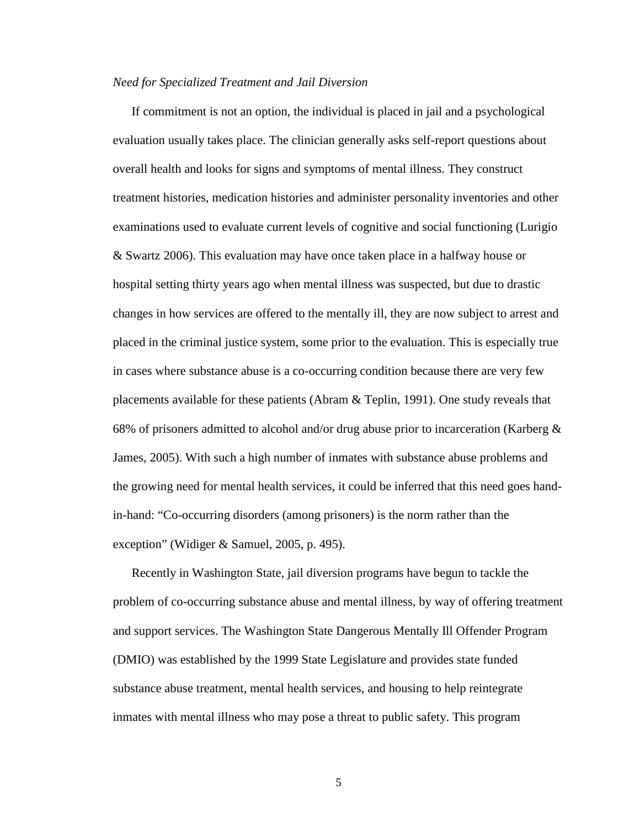#### *Need for Specialized Treatment and Jail Diversion*

If commitment is not an option, the individual is placed in jail and a psychological evaluation usually takes place. The clinician generally asks self-report questions about overall health and looks for signs and symptoms of mental illness. They construct treatment histories, medication histories and administer personality inventories and other examinations used to evaluate current levels of cognitive and social functioning (Lurigio & Swartz 2006). This evaluation may have once taken place in a halfway house or hospital setting thirty years ago when mental illness was suspected, but due to drastic changes in how services are offered to the mentally ill, they are now subject to arrest and placed in the criminal justice system, some prior to the evaluation. This is especially true in cases where substance abuse is a co-occurring condition because there are very few placements available for these patients (Abram & Teplin, 1991). One study reveals that 68% of prisoners admitted to alcohol and/or drug abuse prior to incarceration (Karberg  $\&$ James, 2005). With such a high number of inmates with substance abuse problems and the growing need for mental health services, it could be inferred that this need goes handin-hand: "Co-occurring disorders (among prisoners) is the norm rather than the exception" (Widiger & Samuel, 2005, p. 495).

Recently in Washington State, jail diversion programs have begun to tackle the problem of co-occurring substance abuse and mental illness, by way of offering treatment and support services. The Washington State Dangerous Mentally Ill Offender Program (DMIO) was established by the 1999 State Legislature and provides state funded substance abuse treatment, mental health services, and housing to help reintegrate inmates with mental illness who may pose a threat to public safety. This program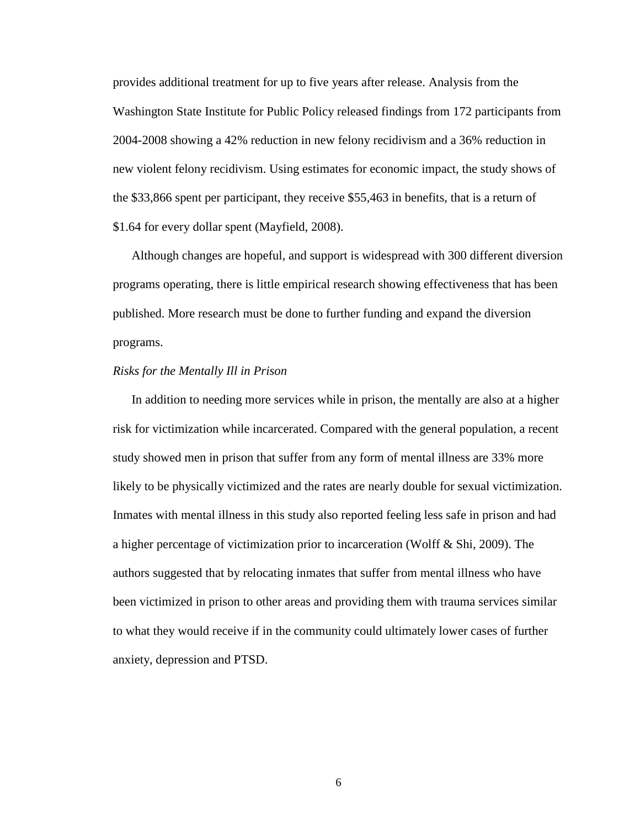provides additional treatment for up to five years after release. Analysis from the Washington State Institute for Public Policy released findings from 172 participants from 2004-2008 showing a 42% reduction in new felony recidivism and a 36% reduction in new violent felony recidivism. Using estimates for economic impact, the study shows of the \$33,866 spent per participant, they receive \$55,463 in benefits, that is a return of \$1.64 for every dollar spent (Mayfield, 2008).

Although changes are hopeful, and support is widespread with 300 different diversion programs operating, there is little empirical research showing effectiveness that has been published. More research must be done to further funding and expand the diversion programs.

#### *Risks for the Mentally Ill in Prison*

In addition to needing more services while in prison, the mentally are also at a higher risk for victimization while incarcerated. Compared with the general population, a recent study showed men in prison that suffer from any form of mental illness are 33% more likely to be physically victimized and the rates are nearly double for sexual victimization. Inmates with mental illness in this study also reported feeling less safe in prison and had a higher percentage of victimization prior to incarceration (Wolff & Shi, 2009). The authors suggested that by relocating inmates that suffer from mental illness who have been victimized in prison to other areas and providing them with trauma services similar to what they would receive if in the community could ultimately lower cases of further anxiety, depression and PTSD.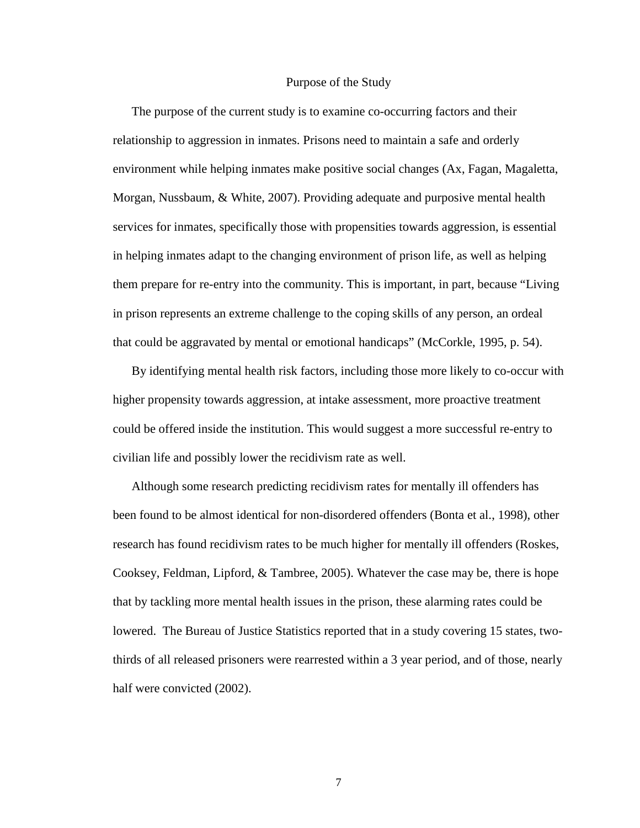#### Purpose of the Study

The purpose of the current study is to examine co-occurring factors and their relationship to aggression in inmates. Prisons need to maintain a safe and orderly environment while helping inmates make positive social changes (Ax, Fagan, Magaletta, Morgan, Nussbaum, & White, 2007). Providing adequate and purposive mental health services for inmates, specifically those with propensities towards aggression, is essential in helping inmates adapt to the changing environment of prison life, as well as helping them prepare for re-entry into the community. This is important, in part, because "Living in prison represents an extreme challenge to the coping skills of any person, an ordeal that could be aggravated by mental or emotional handicaps" (McCorkle, 1995, p. 54).

By identifying mental health risk factors, including those more likely to co-occur with higher propensity towards aggression, at intake assessment, more proactive treatment could be offered inside the institution. This would suggest a more successful re-entry to civilian life and possibly lower the recidivism rate as well.

Although some research predicting recidivism rates for mentally ill offenders has been found to be almost identical for non-disordered offenders (Bonta et al., 1998), other research has found recidivism rates to be much higher for mentally ill offenders (Roskes, Cooksey, Feldman, Lipford, & Tambree, 2005). Whatever the case may be, there is hope that by tackling more mental health issues in the prison, these alarming rates could be lowered. The Bureau of Justice Statistics reported that in a study covering 15 states, twothirds of all released prisoners were rearrested within a 3 year period, and of those, nearly half were convicted (2002).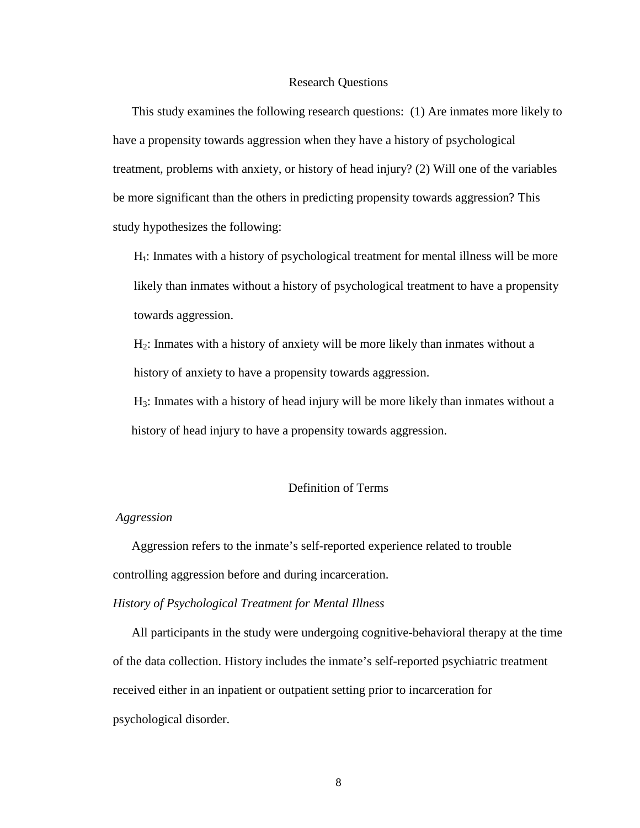#### Research Questions

This study examines the following research questions: (1) Are inmates more likely to have a propensity towards aggression when they have a history of psychological treatment, problems with anxiety, or history of head injury? (2) Will one of the variables be more significant than the others in predicting propensity towards aggression? This study hypothesizes the following:

H<sub>1</sub>: Inmates with a history of psychological treatment for mental illness will be more likely than inmates without a history of psychological treatment to have a propensity towards aggression.

H2: Inmates with a history of anxiety will be more likely than inmates without a history of anxiety to have a propensity towards aggression.

H3: Inmates with a history of head injury will be more likely than inmates without a history of head injury to have a propensity towards aggression.

### Definition of Terms

### *Aggression*

Aggression refers to the inmate's self-reported experience related to trouble controlling aggression before and during incarceration.

### *History of Psychological Treatment for Mental Illness*

All participants in the study were undergoing cognitive-behavioral therapy at the time of the data collection. History includes the inmate's self-reported psychiatric treatment received either in an inpatient or outpatient setting prior to incarceration for psychological disorder.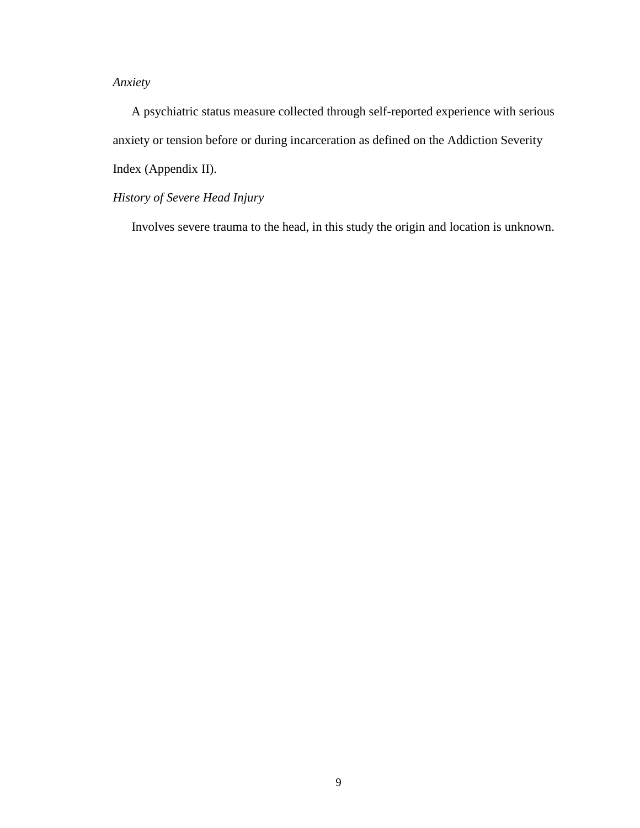### *Anxiety*

A psychiatric status measure collected through self-reported experience with serious anxiety or tension before or during incarceration as defined on the Addiction Severity Index (Appendix II).

### *History of Severe Head Injury*

Involves severe trauma to the head, in this study the origin and location is unknown.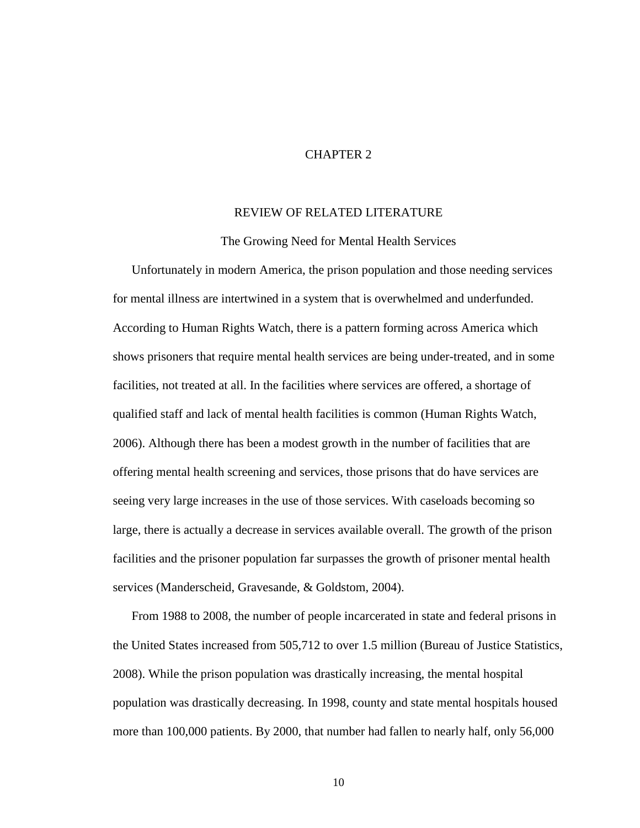### CHAPTER 2

### REVIEW OF RELATED LITERATURE

The Growing Need for Mental Health Services

Unfortunately in modern America, the prison population and those needing services for mental illness are intertwined in a system that is overwhelmed and underfunded. According to Human Rights Watch, there is a pattern forming across America which shows prisoners that require mental health services are being under-treated, and in some facilities, not treated at all. In the facilities where services are offered, a shortage of qualified staff and lack of mental health facilities is common (Human Rights Watch, 2006). Although there has been a modest growth in the number of facilities that are offering mental health screening and services, those prisons that do have services are seeing very large increases in the use of those services. With caseloads becoming so large, there is actually a decrease in services available overall. The growth of the prison facilities and the prisoner population far surpasses the growth of prisoner mental health services (Manderscheid, Gravesande, & Goldstom, 2004).

From 1988 to 2008, the number of people incarcerated in state and federal prisons in the United States increased from 505,712 to over 1.5 million (Bureau of Justice Statistics, 2008). While the prison population was drastically increasing, the mental hospital population was drastically decreasing. In 1998, county and state mental hospitals housed more than 100,000 patients. By 2000, that number had fallen to nearly half, only 56,000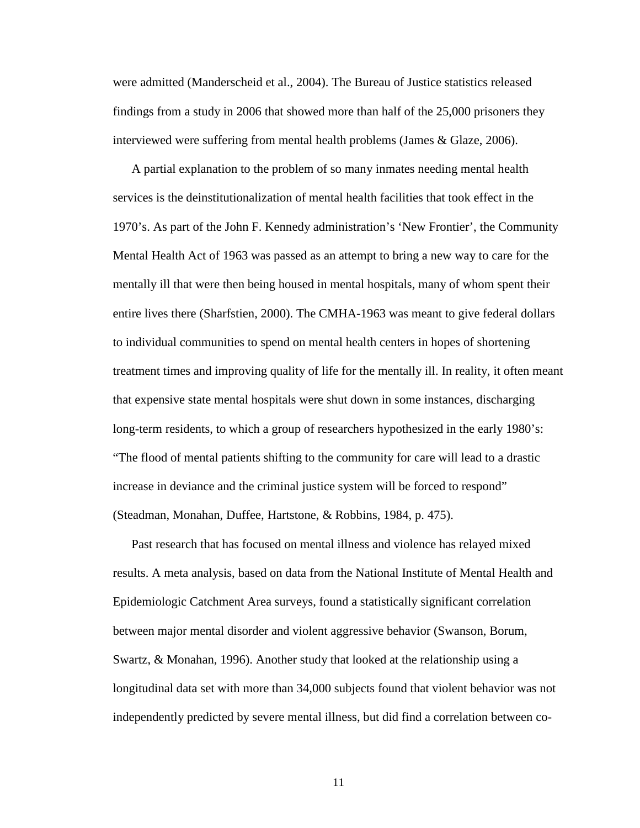were admitted (Manderscheid et al., 2004). The Bureau of Justice statistics released findings from a study in 2006 that showed more than half of the 25,000 prisoners they interviewed were suffering from mental health problems (James & Glaze, 2006).

A partial explanation to the problem of so many inmates needing mental health services is the deinstitutionalization of mental health facilities that took effect in the 1970's. As part of the John F. Kennedy administration's 'New Frontier', the Community Mental Health Act of 1963 was passed as an attempt to bring a new way to care for the mentally ill that were then being housed in mental hospitals, many of whom spent their entire lives there (Sharfstien, 2000). The CMHA-1963 was meant to give federal dollars to individual communities to spend on mental health centers in hopes of shortening treatment times and improving quality of life for the mentally ill. In reality, it often meant that expensive state mental hospitals were shut down in some instances, discharging long-term residents, to which a group of researchers hypothesized in the early 1980's: "The flood of mental patients shifting to the community for care will lead to a drastic increase in deviance and the criminal justice system will be forced to respond" (Steadman, Monahan, Duffee, Hartstone, & Robbins, 1984, p. 475).

Past research that has focused on mental illness and violence has relayed mixed results. A meta analysis, based on data from the National Institute of Mental Health and Epidemiologic Catchment Area surveys, found a statistically significant correlation between major mental disorder and violent aggressive behavior (Swanson, Borum, Swartz, & Monahan, 1996). Another study that looked at the relationship using a longitudinal data set with more than 34,000 subjects found that violent behavior was not independently predicted by severe mental illness, but did find a correlation between co-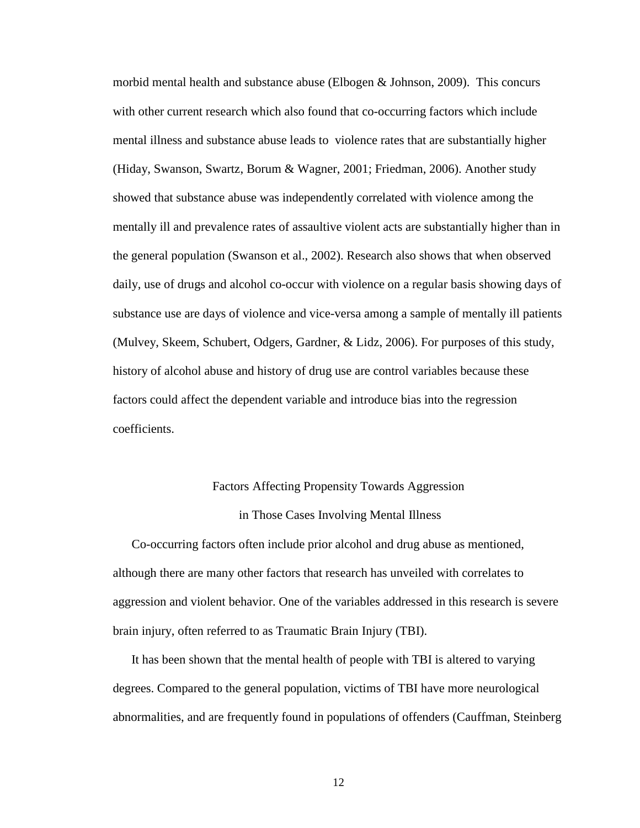morbid mental health and substance abuse (Elbogen & Johnson, 2009). This concurs with other current research which also found that co-occurring factors which include mental illness and substance abuse leads to violence rates that are substantially higher (Hiday, Swanson, Swartz, Borum & Wagner, 2001; Friedman, 2006). Another study showed that substance abuse was independently correlated with violence among the mentally ill and prevalence rates of assaultive violent acts are substantially higher than in the general population (Swanson et al., 2002). Research also shows that when observed daily, use of drugs and alcohol co-occur with violence on a regular basis showing days of substance use are days of violence and vice-versa among a sample of mentally ill patients (Mulvey, Skeem, Schubert, Odgers, Gardner, & Lidz, 2006). For purposes of this study, history of alcohol abuse and history of drug use are control variables because these factors could affect the dependent variable and introduce bias into the regression coefficients.

### Factors Affecting Propensity Towards Aggression

#### in Those Cases Involving Mental Illness

Co-occurring factors often include prior alcohol and drug abuse as mentioned, although there are many other factors that research has unveiled with correlates to aggression and violent behavior. One of the variables addressed in this research is severe brain injury, often referred to as Traumatic Brain Injury (TBI).

It has been shown that the mental health of people with TBI is altered to varying degrees. Compared to the general population, victims of TBI have more neurological abnormalities, and are frequently found in populations of offenders (Cauffman, Steinberg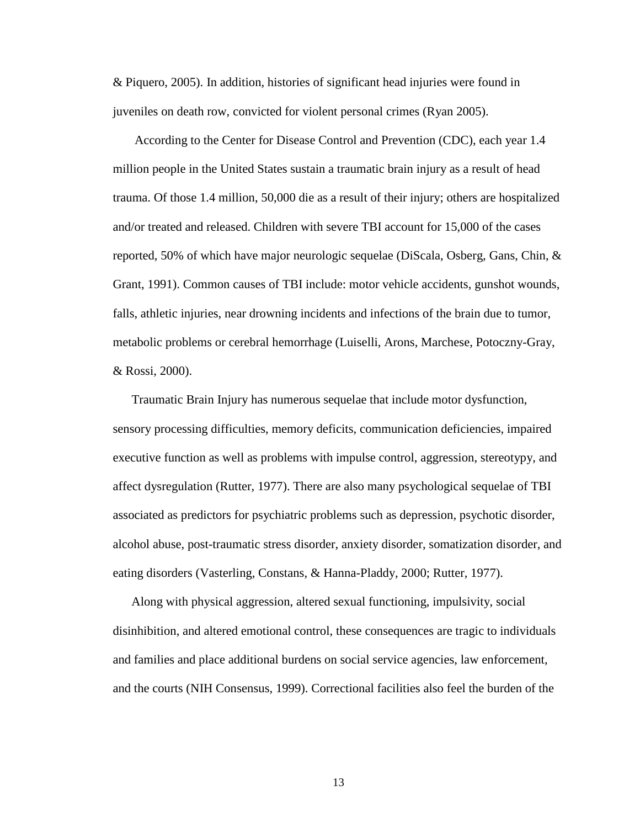& Piquero, 2005). In addition, histories of significant head injuries were found in juveniles on death row, convicted for violent personal crimes (Ryan 2005).

 According to the Center for Disease Control and Prevention (CDC), each year 1.4 million people in the United States sustain a traumatic brain injury as a result of head trauma. Of those 1.4 million, 50,000 die as a result of their injury; others are hospitalized and/or treated and released. Children with severe TBI account for 15,000 of the cases reported, 50% of which have major neurologic sequelae (DiScala, Osberg, Gans, Chin, & Grant, 1991). Common causes of TBI include: motor vehicle accidents, gunshot wounds, falls, athletic injuries, near drowning incidents and infections of the brain due to tumor, metabolic problems or cerebral hemorrhage (Luiselli, Arons, Marchese, Potoczny-Gray, & Rossi, 2000).

Traumatic Brain Injury has numerous sequelae that include motor dysfunction, sensory processing difficulties, memory deficits, communication deficiencies, impaired executive function as well as problems with impulse control, aggression, stereotypy, and affect dysregulation (Rutter, 1977). There are also many psychological sequelae of TBI associated as predictors for psychiatric problems such as depression, psychotic disorder, alcohol abuse, post-traumatic stress disorder, anxiety disorder, somatization disorder, and eating disorders (Vasterling, Constans, & Hanna-Pladdy, 2000; Rutter, 1977).

Along with physical aggression, altered sexual functioning, impulsivity, social disinhibition, and altered emotional control, these consequences are tragic to individuals and families and place additional burdens on social service agencies, law enforcement, and the courts (NIH Consensus, 1999). Correctional facilities also feel the burden of the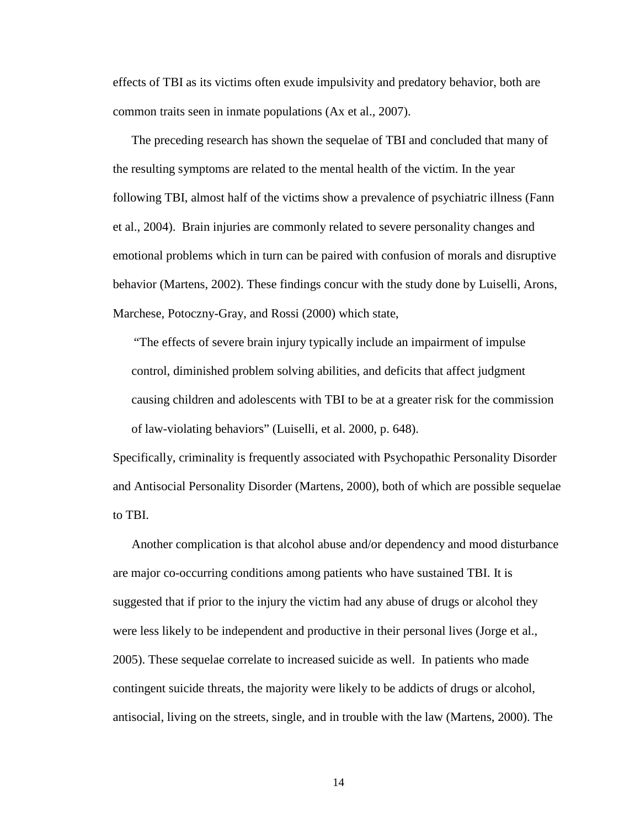effects of TBI as its victims often exude impulsivity and predatory behavior, both are common traits seen in inmate populations (Ax et al., 2007).

The preceding research has shown the sequelae of TBI and concluded that many of the resulting symptoms are related to the mental health of the victim. In the year following TBI, almost half of the victims show a prevalence of psychiatric illness (Fann et al., 2004). Brain injuries are commonly related to severe personality changes and emotional problems which in turn can be paired with confusion of morals and disruptive behavior (Martens, 2002). These findings concur with the study done by Luiselli, Arons, Marchese, Potoczny-Gray, and Rossi (2000) which state,

"The effects of severe brain injury typically include an impairment of impulse control, diminished problem solving abilities, and deficits that affect judgment causing children and adolescents with TBI to be at a greater risk for the commission of law-violating behaviors" (Luiselli, et al. 2000, p. 648).

Specifically, criminality is frequently associated with Psychopathic Personality Disorder and Antisocial Personality Disorder (Martens, 2000), both of which are possible sequelae to TBI.

Another complication is that alcohol abuse and/or dependency and mood disturbance are major co-occurring conditions among patients who have sustained TBI. It is suggested that if prior to the injury the victim had any abuse of drugs or alcohol they were less likely to be independent and productive in their personal lives (Jorge et al., 2005). These sequelae correlate to increased suicide as well. In patients who made contingent suicide threats, the majority were likely to be addicts of drugs or alcohol, antisocial, living on the streets, single, and in trouble with the law (Martens, 2000). The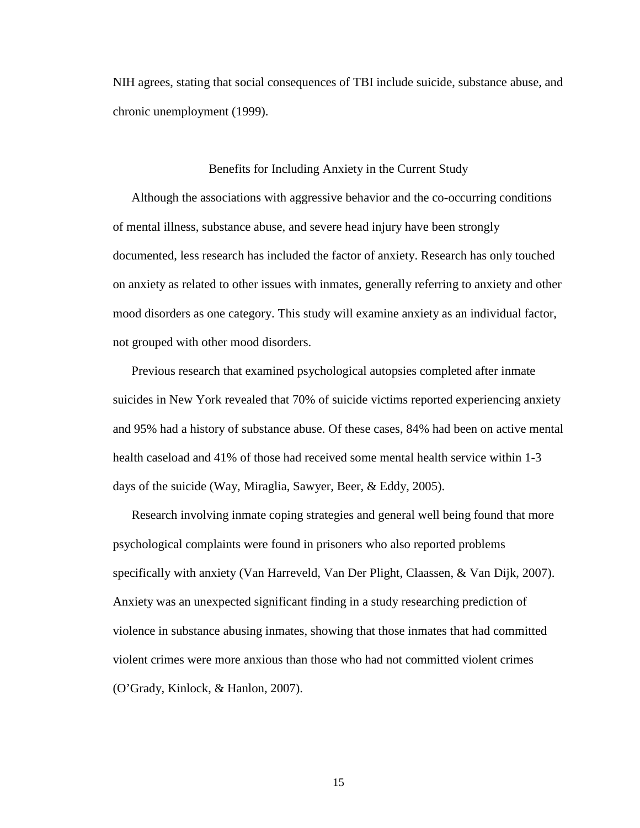NIH agrees, stating that social consequences of TBI include suicide, substance abuse, and chronic unemployment (1999).

### Benefits for Including Anxiety in the Current Study

Although the associations with aggressive behavior and the co-occurring conditions of mental illness, substance abuse, and severe head injury have been strongly documented, less research has included the factor of anxiety. Research has only touched on anxiety as related to other issues with inmates, generally referring to anxiety and other mood disorders as one category. This study will examine anxiety as an individual factor, not grouped with other mood disorders.

Previous research that examined psychological autopsies completed after inmate suicides in New York revealed that 70% of suicide victims reported experiencing anxiety and 95% had a history of substance abuse. Of these cases, 84% had been on active mental health caseload and 41% of those had received some mental health service within 1-3 days of the suicide (Way, Miraglia, Sawyer, Beer, & Eddy, 2005).

Research involving inmate coping strategies and general well being found that more psychological complaints were found in prisoners who also reported problems specifically with anxiety (Van Harreveld, Van Der Plight, Claassen, & Van Dijk, 2007). Anxiety was an unexpected significant finding in a study researching prediction of violence in substance abusing inmates, showing that those inmates that had committed violent crimes were more anxious than those who had not committed violent crimes (O'Grady, Kinlock, & Hanlon, 2007).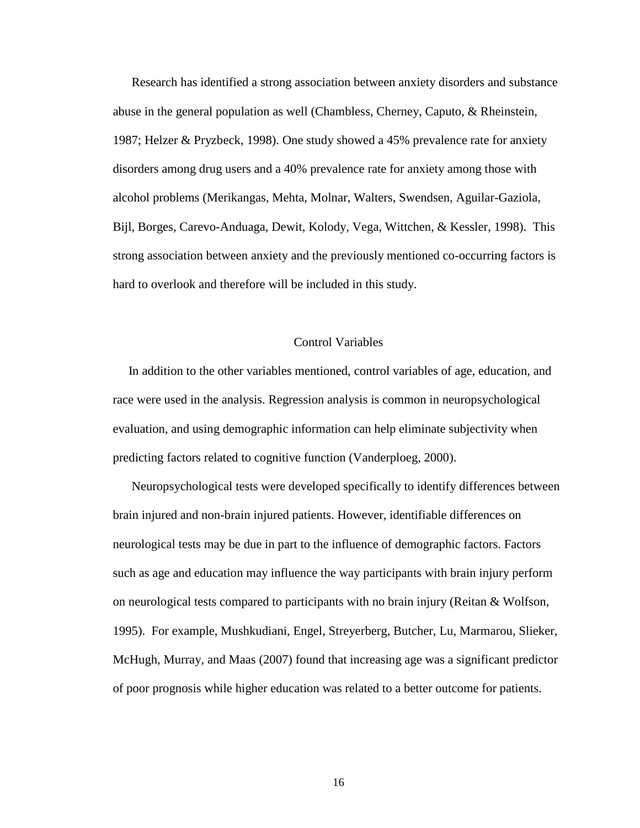Research has identified a strong association between anxiety disorders and substance abuse in the general population as well (Chambless, Cherney, Caputo, & Rheinstein, 1987; Helzer & Pryzbeck, 1998). One study showed a 45% prevalence rate for anxiety disorders among drug users and a 40% prevalence rate for anxiety among those with alcohol problems (Merikangas, Mehta, Molnar, Walters, Swendsen, Aguilar-Gaziola, Bijl, Borges, Carevo-Anduaga, Dewit, Kolody, Vega, Wittchen, & Kessler, 1998). This strong association between anxiety and the previously mentioned co-occurring factors is hard to overlook and therefore will be included in this study.

### Control Variables

 In addition to the other variables mentioned, control variables of age, education, and race were used in the analysis. Regression analysis is common in neuropsychological evaluation, and using demographic information can help eliminate subjectivity when predicting factors related to cognitive function (Vanderploeg, 2000).

 Neuropsychological tests were developed specifically to identify differences between brain injured and non-brain injured patients. However, identifiable differences on neurological tests may be due in part to the influence of demographic factors. Factors such as age and education may influence the way participants with brain injury perform on neurological tests compared to participants with no brain injury (Reitan  $\&$  Wolfson, 1995). For example, Mushkudiani, Engel, Streyerberg, Butcher, Lu, Marmarou, Slieker, McHugh, Murray, and Maas (2007) found that increasing age was a significant predictor of poor prognosis while higher education was related to a better outcome for patients.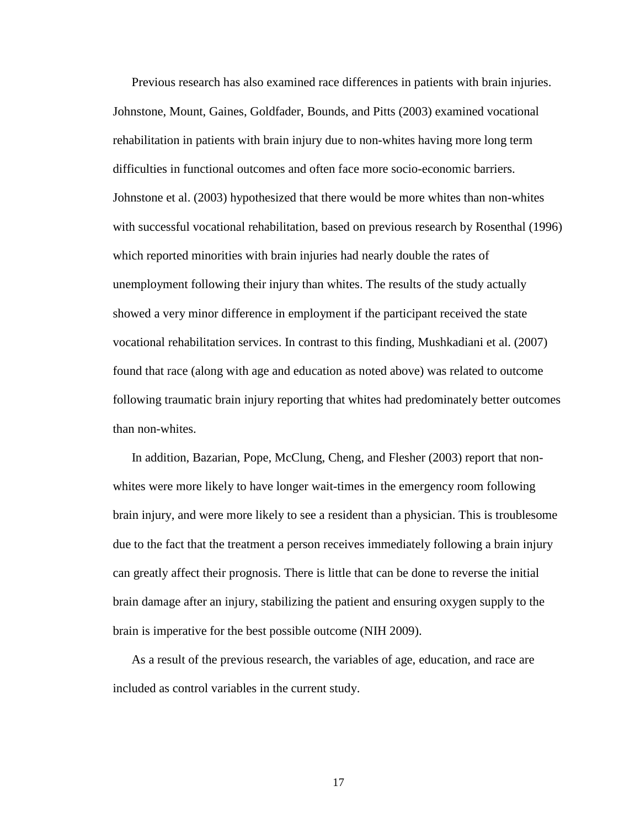Previous research has also examined race differences in patients with brain injuries. Johnstone, Mount, Gaines, Goldfader, Bounds, and Pitts (2003) examined vocational rehabilitation in patients with brain injury due to non-whites having more long term difficulties in functional outcomes and often face more socio-economic barriers. Johnstone et al. (2003) hypothesized that there would be more whites than non-whites with successful vocational rehabilitation, based on previous research by Rosenthal (1996) which reported minorities with brain injuries had nearly double the rates of unemployment following their injury than whites. The results of the study actually showed a very minor difference in employment if the participant received the state vocational rehabilitation services. In contrast to this finding, Mushkadiani et al. (2007) found that race (along with age and education as noted above) was related to outcome following traumatic brain injury reporting that whites had predominately better outcomes than non-whites.

 In addition, Bazarian, Pope, McClung, Cheng, and Flesher (2003) report that nonwhites were more likely to have longer wait-times in the emergency room following brain injury, and were more likely to see a resident than a physician. This is troublesome due to the fact that the treatment a person receives immediately following a brain injury can greatly affect their prognosis. There is little that can be done to reverse the initial brain damage after an injury, stabilizing the patient and ensuring oxygen supply to the brain is imperative for the best possible outcome (NIH 2009).

 As a result of the previous research, the variables of age, education, and race are included as control variables in the current study.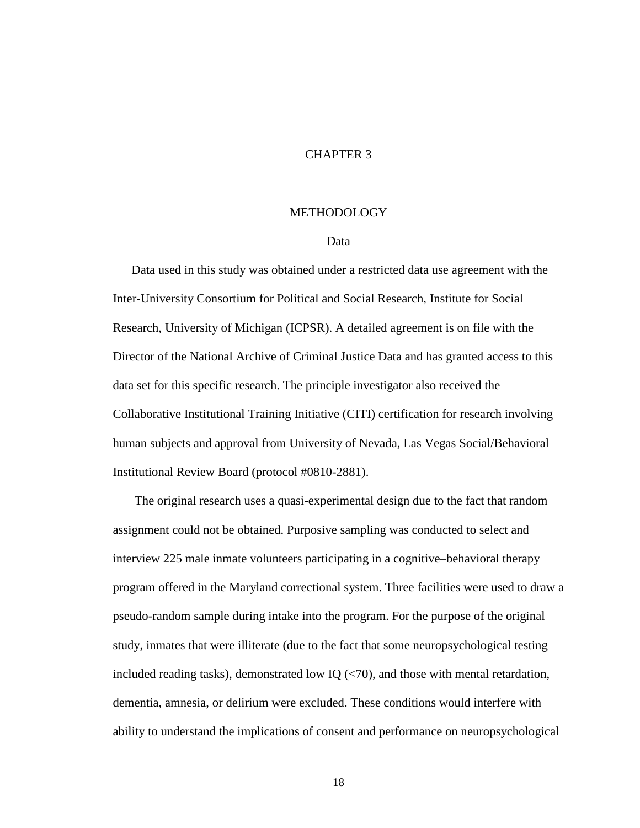### CHAPTER 3

### **METHODOLOGY**

### Data

Data used in this study was obtained under a restricted data use agreement with the Inter-University Consortium for Political and Social Research, Institute for Social Research, University of Michigan (ICPSR). A detailed agreement is on file with the Director of the National Archive of Criminal Justice Data and has granted access to this data set for this specific research. The principle investigator also received the Collaborative Institutional Training Initiative (CITI) certification for research involving human subjects and approval from University of Nevada, Las Vegas Social/Behavioral Institutional Review Board (protocol #0810-2881).

 The original research uses a quasi-experimental design due to the fact that random assignment could not be obtained. Purposive sampling was conducted to select and interview 225 male inmate volunteers participating in a cognitive–behavioral therapy program offered in the Maryland correctional system. Three facilities were used to draw a pseudo-random sample during intake into the program. For the purpose of the original study, inmates that were illiterate (due to the fact that some neuropsychological testing included reading tasks), demonstrated low IQ  $\left(\langle 70 \rangle\right)$ , and those with mental retardation, dementia, amnesia, or delirium were excluded. These conditions would interfere with ability to understand the implications of consent and performance on neuropsychological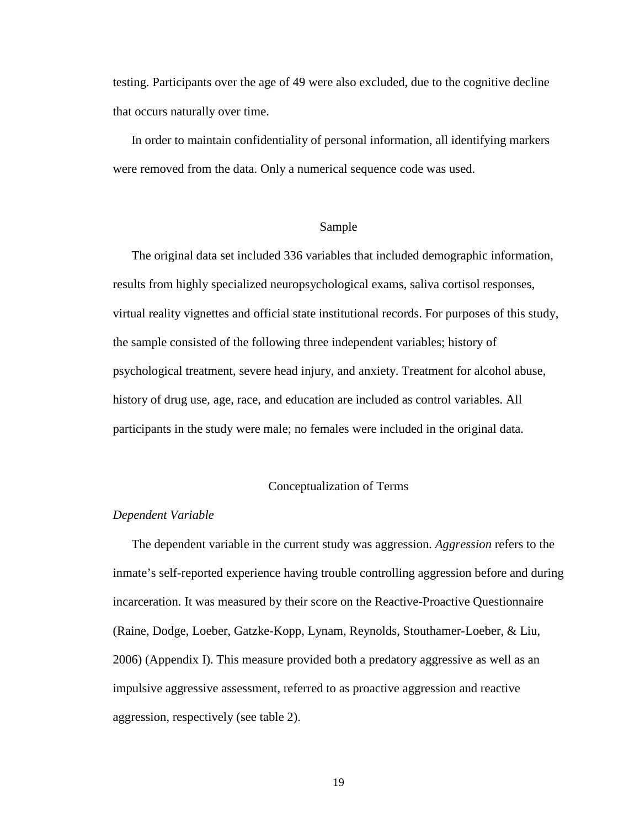testing. Participants over the age of 49 were also excluded, due to the cognitive decline that occurs naturally over time.

In order to maintain confidentiality of personal information, all identifying markers were removed from the data. Only a numerical sequence code was used.

### Sample

The original data set included 336 variables that included demographic information, results from highly specialized neuropsychological exams, saliva cortisol responses, virtual reality vignettes and official state institutional records. For purposes of this study, the sample consisted of the following three independent variables; history of psychological treatment, severe head injury, and anxiety. Treatment for alcohol abuse, history of drug use, age, race, and education are included as control variables. All participants in the study were male; no females were included in the original data.

### Conceptualization of Terms

### *Dependent Variable*

The dependent variable in the current study was aggression. *Aggression* refers to the inmate's self-reported experience having trouble controlling aggression before and during incarceration. It was measured by their score on the Reactive-Proactive Questionnaire (Raine, Dodge, Loeber, Gatzke-Kopp, Lynam, Reynolds, Stouthamer-Loeber, & Liu, 2006) (Appendix I). This measure provided both a predatory aggressive as well as an impulsive aggressive assessment, referred to as proactive aggression and reactive aggression, respectively (see table 2).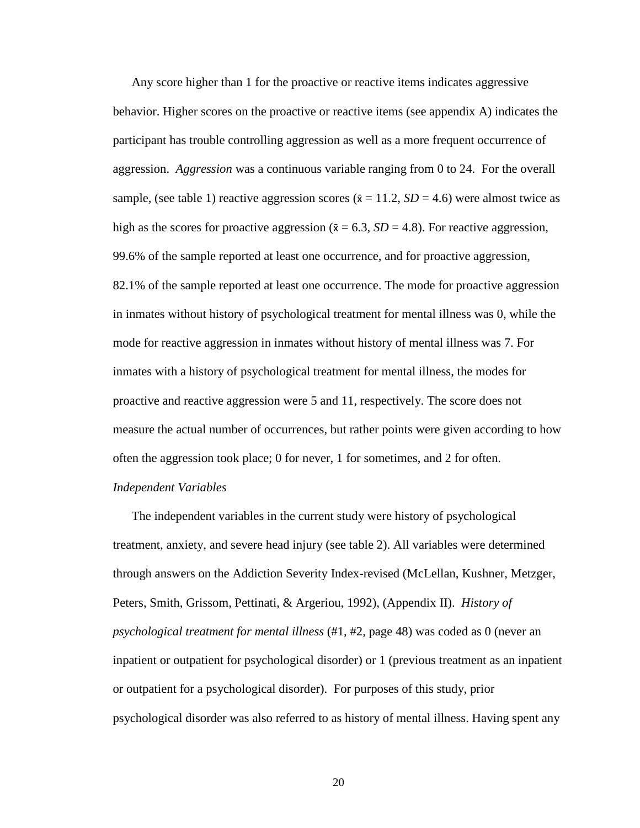Any score higher than 1 for the proactive or reactive items indicates aggressive behavior. Higher scores on the proactive or reactive items (see appendix A) indicates the participant has trouble controlling aggression as well as a more frequent occurrence of aggression. *Aggression* was a continuous variable ranging from 0 to 24. For the overall sample, (see table 1) reactive aggression scores ( $\bar{x} = 11.2$ ,  $SD = 4.6$ ) were almost twice as high as the scores for proactive aggression ( $\bar{x} = 6.3$ ,  $SD = 4.8$ ). For reactive aggression, 99.6% of the sample reported at least one occurrence, and for proactive aggression, 82.1% of the sample reported at least one occurrence. The mode for proactive aggression in inmates without history of psychological treatment for mental illness was 0, while the mode for reactive aggression in inmates without history of mental illness was 7. For inmates with a history of psychological treatment for mental illness, the modes for proactive and reactive aggression were 5 and 11, respectively. The score does not measure the actual number of occurrences, but rather points were given according to how often the aggression took place; 0 for never, 1 for sometimes, and 2 for often. *Independent Variables* 

The independent variables in the current study were history of psychological treatment, anxiety, and severe head injury (see table 2). All variables were determined through answers on the Addiction Severity Index-revised (McLellan, Kushner, Metzger, Peters, Smith, Grissom, Pettinati, & Argeriou, 1992), (Appendix II). *History of psychological treatment for mental illness* (#1, #2, page 48) was coded as 0 (never an inpatient or outpatient for psychological disorder) or 1 (previous treatment as an inpatient or outpatient for a psychological disorder). For purposes of this study, prior psychological disorder was also referred to as history of mental illness. Having spent any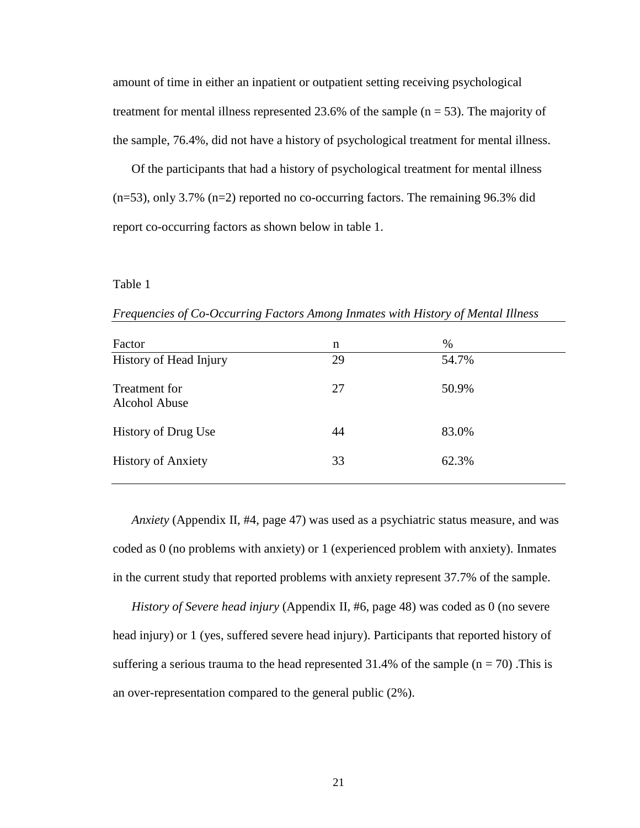amount of time in either an inpatient or outpatient setting receiving psychological treatment for mental illness represented 23.6% of the sample  $(n = 53)$ . The majority of the sample, 76.4%, did not have a history of psychological treatment for mental illness.

Of the participants that had a history of psychological treatment for mental illness  $(n=53)$ , only 3.7%  $(n=2)$  reported no co-occurring factors. The remaining 96.3% did report co-occurring factors as shown below in table 1.

### Table 1

| Factor                         | n  | %     |
|--------------------------------|----|-------|
| History of Head Injury         | 29 | 54.7% |
| Treatment for<br>Alcohol Abuse | 27 | 50.9% |
| <b>History of Drug Use</b>     | 44 | 83.0% |
| <b>History of Anxiety</b>      | 33 | 62.3% |

*Frequencies of Co-Occurring Factors Among Inmates with History of Mental Illness* 

*Anxiety* (Appendix II, #4, page 47) was used as a psychiatric status measure, and was coded as 0 (no problems with anxiety) or 1 (experienced problem with anxiety). Inmates in the current study that reported problems with anxiety represent 37.7% of the sample.

*History of Severe head injury* (Appendix II, #6, page 48) was coded as 0 (no severe head injury) or 1 (yes, suffered severe head injury). Participants that reported history of suffering a serious trauma to the head represented 31.4% of the sample  $(n = 70)$ . This is an over-representation compared to the general public (2%).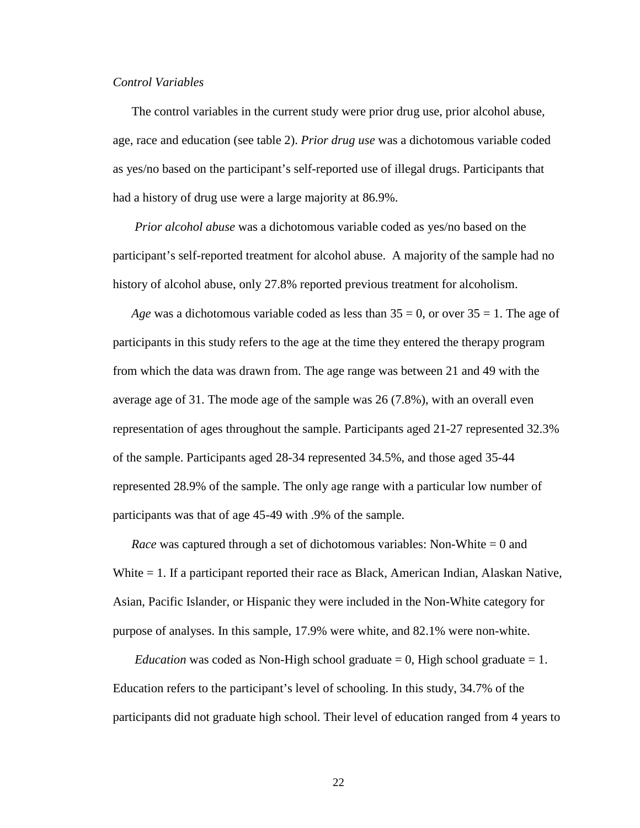### *Control Variables*

The control variables in the current study were prior drug use, prior alcohol abuse, age, race and education (see table 2). *Prior drug use* was a dichotomous variable coded as yes/no based on the participant's self-reported use of illegal drugs. Participants that had a history of drug use were a large majority at 86.9%.

 *Prior alcohol abuse* was a dichotomous variable coded as yes/no based on the participant's self-reported treatment for alcohol abuse. A majority of the sample had no history of alcohol abuse, only 27.8% reported previous treatment for alcoholism.

*Age* was a dichotomous variable coded as less than  $35 = 0$ , or over  $35 = 1$ . The age of participants in this study refers to the age at the time they entered the therapy program from which the data was drawn from. The age range was between 21 and 49 with the average age of 31. The mode age of the sample was 26 (7.8%), with an overall even representation of ages throughout the sample. Participants aged 21-27 represented 32.3% of the sample. Participants aged 28-34 represented 34.5%, and those aged 35-44 represented 28.9% of the sample. The only age range with a particular low number of participants was that of age 45-49 with .9% of the sample.

*Race* was captured through a set of dichotomous variables: Non-White = 0 and White = 1. If a participant reported their race as Black, American Indian, Alaskan Native, Asian, Pacific Islander, or Hispanic they were included in the Non-White category for purpose of analyses. In this sample, 17.9% were white, and 82.1% were non-white.

*Education* was coded as Non-High school graduate  $= 0$ , High school graduate  $= 1$ . Education refers to the participant's level of schooling. In this study, 34.7% of the participants did not graduate high school. Their level of education ranged from 4 years to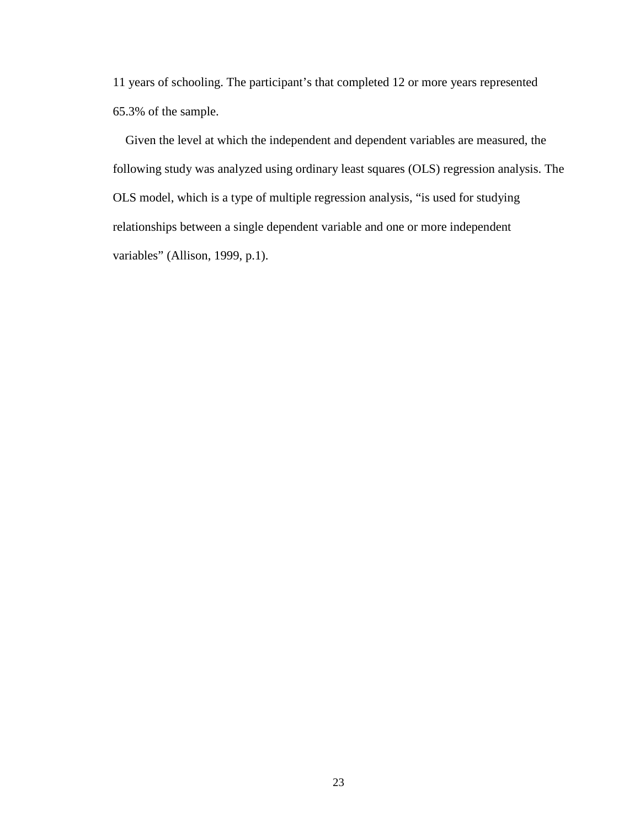11 years of schooling. The participant's that completed 12 or more years represented 65.3% of the sample.

 Given the level at which the independent and dependent variables are measured, the following study was analyzed using ordinary least squares (OLS) regression analysis. The OLS model, which is a type of multiple regression analysis, "is used for studying relationships between a single dependent variable and one or more independent variables" (Allison, 1999, p.1).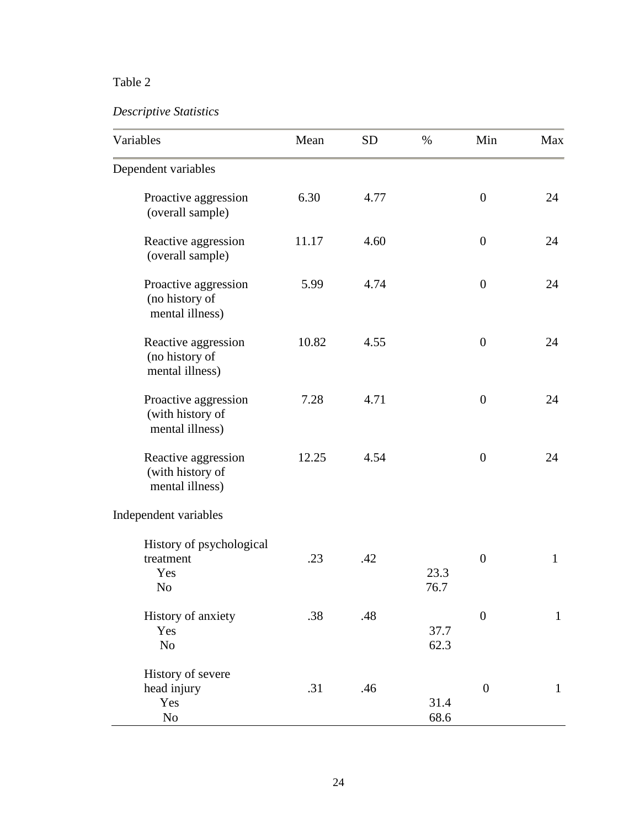### Table 2

### *Descriptive Statistics*

| Variables                                                      | Mean  | <b>SD</b> | $\%$         | Min              | Max          |
|----------------------------------------------------------------|-------|-----------|--------------|------------------|--------------|
| Dependent variables                                            |       |           |              |                  |              |
| Proactive aggression<br>(overall sample)                       | 6.30  | 4.77      |              | $\overline{0}$   | 24           |
| Reactive aggression<br>(overall sample)                        | 11.17 | 4.60      |              | $\boldsymbol{0}$ | 24           |
| Proactive aggression<br>(no history of<br>mental illness)      | 5.99  | 4.74      |              | $\overline{0}$   | 24           |
| Reactive aggression<br>(no history of<br>mental illness)       | 10.82 | 4.55      |              | $\boldsymbol{0}$ | 24           |
| Proactive aggression<br>(with history of<br>mental illness)    | 7.28  | 4.71      |              | $\overline{0}$   | 24           |
| Reactive aggression<br>(with history of<br>mental illness)     | 12.25 | 4.54      |              | $\overline{0}$   | 24           |
| Independent variables                                          |       |           |              |                  |              |
| History of psychological<br>treatment<br>Yes<br>N <sub>o</sub> | .23   | .42       | 23.3<br>76.7 | $\boldsymbol{0}$ | $\mathbf{1}$ |
| History of anxiety<br>Yes<br>N <sub>o</sub>                    | .38   | .48       | 37.7<br>62.3 | $\boldsymbol{0}$ | $\mathbf{1}$ |
| History of severe<br>head injury<br>Yes<br>N <sub>o</sub>      | .31   | .46       | 31.4<br>68.6 | $\boldsymbol{0}$ | $\mathbf{1}$ |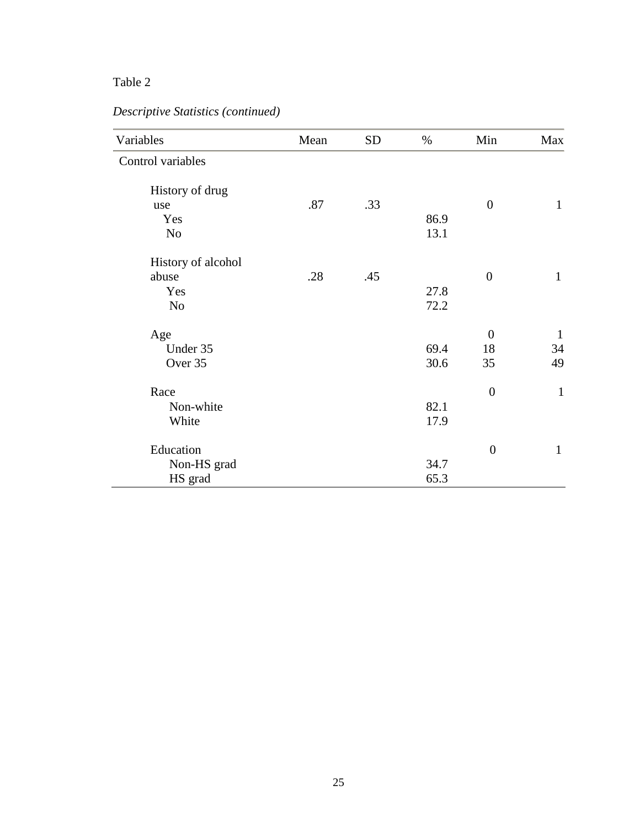### Table 2

|  |  | Descriptive Statistics (continued) |
|--|--|------------------------------------|
|--|--|------------------------------------|

| Variables          | Mean | <b>SD</b> | $\%$ | Min              | Max          |
|--------------------|------|-----------|------|------------------|--------------|
| Control variables  |      |           |      |                  |              |
| History of drug    |      |           |      |                  |              |
| use                | .87  | .33       |      | $\boldsymbol{0}$ | $\mathbf{1}$ |
| Yes                |      |           | 86.9 |                  |              |
| N <sub>o</sub>     |      |           | 13.1 |                  |              |
| History of alcohol |      |           |      |                  |              |
| abuse              | .28  | .45       |      | $\boldsymbol{0}$ | $\mathbf{1}$ |
| Yes                |      |           | 27.8 |                  |              |
| N <sub>o</sub>     |      |           | 72.2 |                  |              |
| Age                |      |           |      | $\mathbf{0}$     | $\mathbf{1}$ |
| Under 35           |      |           | 69.4 | 18               | 34           |
| Over 35            |      |           | 30.6 | 35               | 49           |
| Race               |      |           |      | $\boldsymbol{0}$ | $\mathbf{1}$ |
| Non-white          |      |           | 82.1 |                  |              |
| White              |      |           | 17.9 |                  |              |
| Education          |      |           |      | $\overline{0}$   | $\mathbf{1}$ |
| Non-HS grad        |      |           | 34.7 |                  |              |
| HS grad            |      |           | 65.3 |                  |              |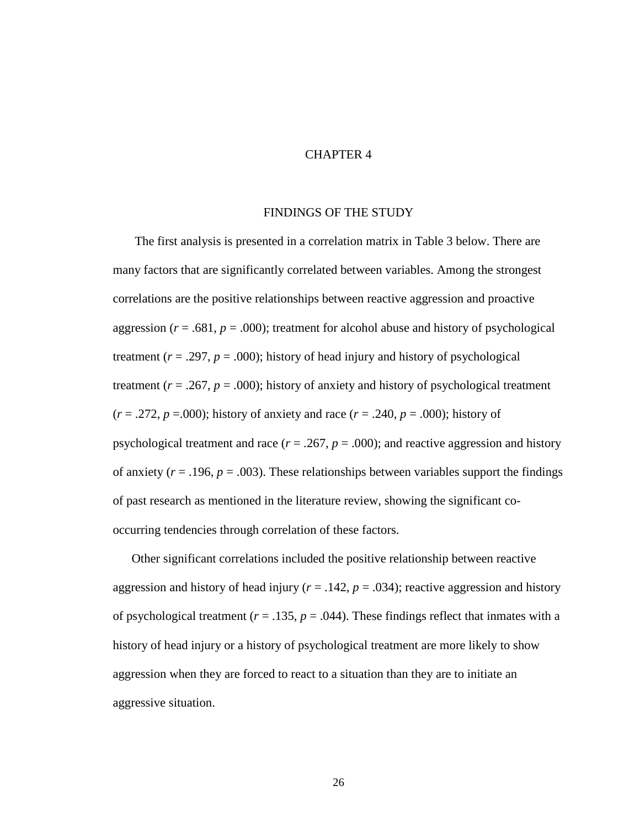### CHAPTER 4

### FINDINGS OF THE STUDY

The first analysis is presented in a correlation matrix in Table 3 below. There are many factors that are significantly correlated between variables. Among the strongest correlations are the positive relationships between reactive aggression and proactive aggression  $(r = .681, p = .000)$ ; treatment for alcohol abuse and history of psychological treatment  $(r = .297, p = .000)$ ; history of head injury and history of psychological treatment  $(r = .267, p = .000)$ ; history of anxiety and history of psychological treatment  $(r = .272, p = .000)$ ; history of anxiety and race  $(r = .240, p = .000)$ ; history of psychological treatment and race  $(r = .267, p = .000)$ ; and reactive aggression and history of anxiety  $(r = .196, p = .003)$ . These relationships between variables support the findings of past research as mentioned in the literature review, showing the significant cooccurring tendencies through correlation of these factors.

 Other significant correlations included the positive relationship between reactive aggression and history of head injury ( $r = .142$ ,  $p = .034$ ); reactive aggression and history of psychological treatment ( $r = .135$ ,  $p = .044$ ). These findings reflect that inmates with a history of head injury or a history of psychological treatment are more likely to show aggression when they are forced to react to a situation than they are to initiate an aggressive situation.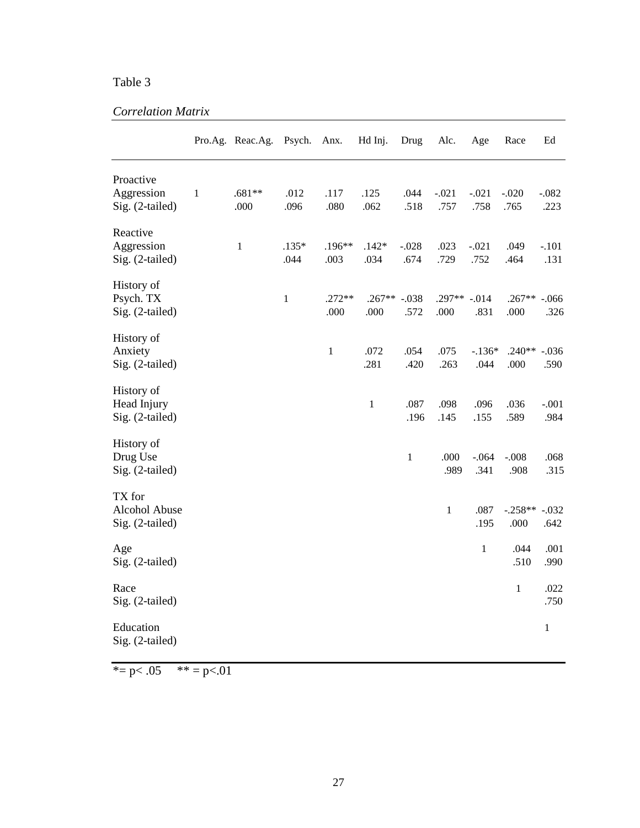### Table 3

### *Correlation Matrix*

|                                              |              | Pro.Ag. Reac.Ag. | Psych.          | Anx.             | Hd Inj.          | Drug            | Alc.                 | Age              | Race              | Ed               |
|----------------------------------------------|--------------|------------------|-----------------|------------------|------------------|-----------------|----------------------|------------------|-------------------|------------------|
| Proactive<br>Aggression<br>Sig. (2-tailed)   | $\mathbf{1}$ | $.681**$<br>.000 | .012<br>.096    | .117<br>.080     | .125<br>.062     | .044<br>.518    | $-.021$<br>.757      | $-.021$<br>.758  | $-.020$<br>.765   | $-.082$<br>.223  |
| Reactive<br>Aggression<br>Sig. (2-tailed)    |              | $\mathbf{1}$     | $.135*$<br>.044 | .196**<br>.003   | $.142*$<br>.034  | $-.028$<br>.674 | .023<br>.729         | $-.021$<br>.752  | .049<br>.464      | $-.101$<br>.131  |
| History of<br>Psych. TX<br>Sig. (2-tailed)   |              |                  | $\mathbf{1}$    | $.272**$<br>.000 | $.267**$<br>.000 | $-.038$<br>.572 | .297** -.014<br>.000 | .831             | $.267**$<br>.000  | $-0.066$<br>.326 |
| History of<br>Anxiety<br>Sig. (2-tailed)     |              |                  |                 | $\mathbf{1}$     | .072<br>.281     | .054<br>.420    | .075<br>.263         | $-.136*$<br>.044 | $.240**$<br>.000  | $-.036$<br>.590  |
| History of<br>Head Injury<br>Sig. (2-tailed) |              |                  |                 |                  | $\,1\,$          | .087<br>.196    | .098<br>.145         | .096<br>.155     | .036<br>.589      | $-.001$<br>.984  |
| History of<br>Drug Use<br>Sig. (2-tailed)    |              |                  |                 |                  |                  | $\mathbf{1}$    | .000<br>.989         | $-.064$<br>.341  | $-.008$<br>.908   | .068<br>.315     |
| TX for<br>Alcohol Abuse<br>Sig. (2-tailed)   |              |                  |                 |                  |                  |                 | $\,1$                | .087<br>.195     | $-.258**$<br>.000 | $-.032$<br>.642  |
| Age<br>Sig. (2-tailed)                       |              |                  |                 |                  |                  |                 |                      | $\mathbf 1$      | .044<br>.510      | .001<br>.990     |
| Race<br>Sig. (2-tailed)                      |              |                  |                 |                  |                  |                 |                      |                  | $\,1$             | .022<br>.750     |
| Education<br>Sig. (2-tailed)                 |              |                  |                 |                  |                  |                 |                      |                  |                   | $\,1$            |

\*=  $p$  < .05 \*\* =  $p$  < .01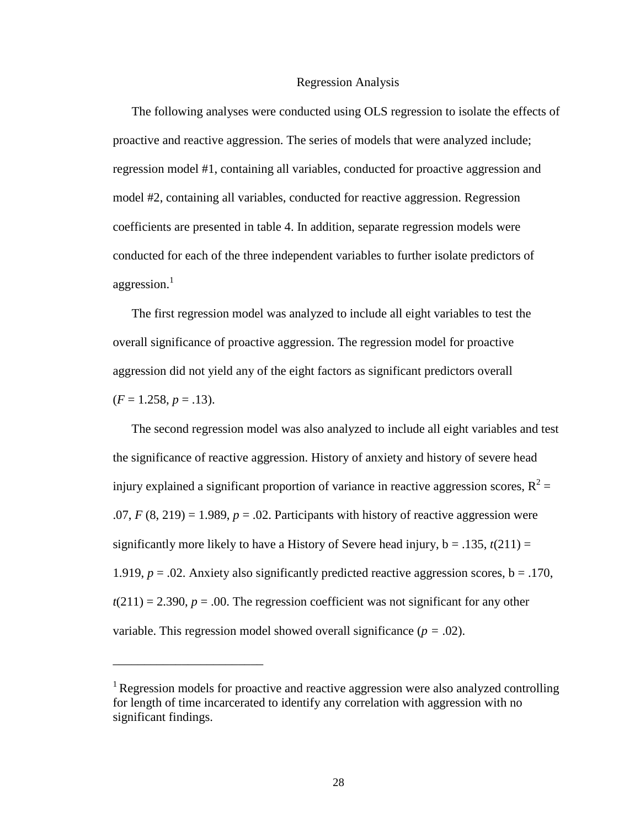#### Regression Analysis

The following analyses were conducted using OLS regression to isolate the effects of proactive and reactive aggression. The series of models that were analyzed include; regression model #1, containing all variables, conducted for proactive aggression and model #2, containing all variables, conducted for reactive aggression. Regression coefficients are presented in table 4. In addition, separate regression models were conducted for each of the three independent variables to further isolate predictors of aggression. $<sup>1</sup>$ </sup>

The first regression model was analyzed to include all eight variables to test the overall significance of proactive aggression. The regression model for proactive aggression did not yield any of the eight factors as significant predictors overall  $(F = 1.258, p = .13).$ 

The second regression model was also analyzed to include all eight variables and test the significance of reactive aggression. History of anxiety and history of severe head injury explained a significant proportion of variance in reactive aggression scores,  $R^2$  =  $.07, F(8, 219) = 1.989, p = .02$ . Participants with history of reactive aggression were significantly more likely to have a History of Severe head injury,  $b = .135$ ,  $t(211) =$ 1.919,  $p = 0.02$ . Anxiety also significantly predicted reactive aggression scores,  $b = 0.170$ ,  $t(211) = 2.390, p = .00$ . The regression coefficient was not significant for any other variable. This regression model showed overall significance (*p =* .02).

\_\_\_\_\_\_\_\_\_\_\_\_\_\_\_\_\_\_\_\_\_\_\_\_

<sup>&</sup>lt;sup>1</sup> Regression models for proactive and reactive aggression were also analyzed controlling for length of time incarcerated to identify any correlation with aggression with no significant findings.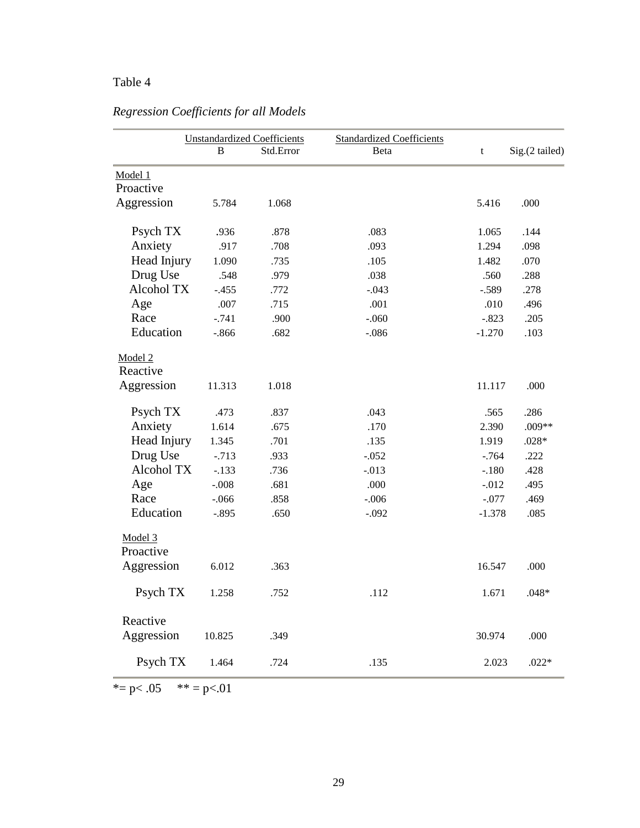### Table 4

|             |          | <b>Unstandardized Coefficients</b> | <b>Standardized Coefficients</b> |          |                |
|-------------|----------|------------------------------------|----------------------------------|----------|----------------|
|             | B        | Std.Error                          | <b>B</b> eta                     | t        | Sig.(2 tailed) |
| Model 1     |          |                                    |                                  |          |                |
| Proactive   |          |                                    |                                  |          |                |
| Aggression  | 5.784    | 1.068                              |                                  | 5.416    | .000           |
|             |          |                                    |                                  |          |                |
| Psych TX    | .936     | .878                               | .083                             | 1.065    | .144           |
| Anxiety     | .917     | .708                               | .093                             | 1.294    | .098           |
| Head Injury | 1.090    | .735                               | .105                             | 1.482    | .070           |
| Drug Use    | .548     | .979                               | .038                             | .560     | .288           |
| Alcohol TX  | $-.455$  | .772                               | $-.043$                          | $-.589$  | .278           |
| Age         | .007     | .715                               | .001                             | .010     | .496           |
| Race        | $-.741$  | .900                               | $-.060$                          | $-.823$  | .205           |
| Education   | $-0.866$ | .682                               | $-.086$                          | $-1.270$ | .103           |
| Model 2     |          |                                    |                                  |          |                |
| Reactive    |          |                                    |                                  |          |                |
| Aggression  | 11.313   | 1.018                              |                                  | 11.117   | .000           |
| Psych TX    | .473     | .837                               | .043                             | .565     | .286           |
| Anxiety     | 1.614    | .675                               | .170                             | 2.390    | .009**         |
| Head Injury | 1.345    | .701                               | .135                             | 1.919    | $.028*$        |
| Drug Use    | $-713$   | .933                               | $-.052$                          | $-764$   | .222           |
| Alcohol TX  | $-.133$  | .736                               | $-.013$                          | $-.180$  | .428           |
| Age         | $-.008$  | .681                               | .000                             | $-.012$  | .495           |
| Race        | $-.066$  | .858                               | $-.006$                          | $-.077$  | .469           |
| Education   | $-.895$  | .650                               | $-.092$                          | $-1.378$ | .085           |
| Model 3     |          |                                    |                                  |          |                |
| Proactive   |          |                                    |                                  |          |                |
| Aggression  | 6.012    | .363                               |                                  | 16.547   | .000           |
| Psych TX    | 1.258    | .752                               | .112                             | 1.671    | $.048*$        |
| Reactive    |          |                                    |                                  |          |                |
| Aggression  | 10.825   | .349                               |                                  | 30.974   | .000           |
| Psych TX    | 1.464    | .724                               | .135                             | 2.023    | $.022*$        |
|             |          |                                    |                                  |          |                |

*Regression Coefficients for all Models* 

\*= p<.05 \*\* = p<.01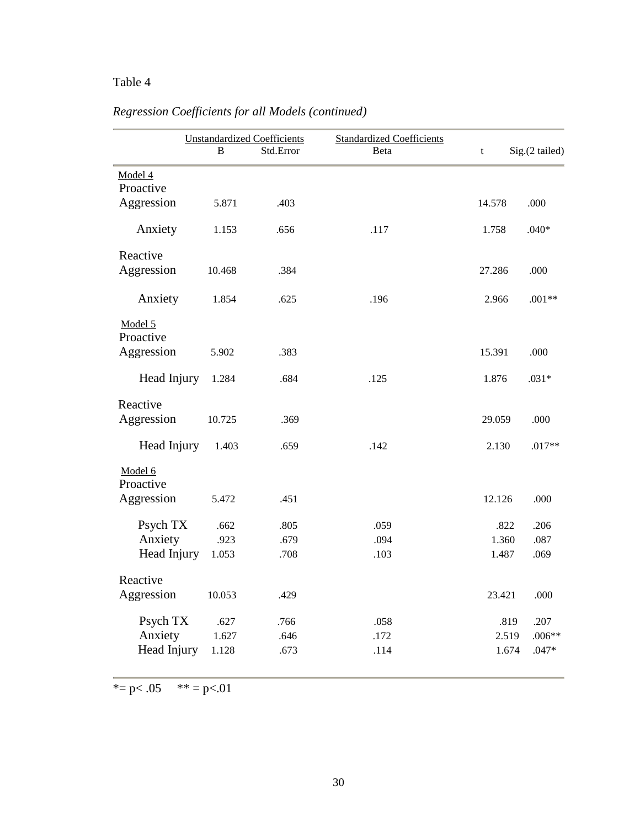### Table 4

|                      | <b>Unstandardized Coefficients</b> |           | <b>Standardized Coefficients</b> |        |                |
|----------------------|------------------------------------|-----------|----------------------------------|--------|----------------|
|                      | R                                  | Std.Error | Beta                             | t      | Sig.(2 tailed) |
| Model 4              |                                    |           |                                  |        |                |
| Proactive            |                                    |           |                                  |        |                |
| Aggression           | 5.871                              | .403      |                                  | 14.578 | .000           |
| Anxiety              | 1.153                              | .656      | .117                             | 1.758  | $.040*$        |
| Reactive             |                                    |           |                                  |        |                |
| Aggression           | 10.468                             | .384      |                                  | 27.286 | .000           |
| Anxiety              | 1.854                              | .625      | .196                             | 2.966  | $.001**$       |
| Model 5              |                                    |           |                                  |        |                |
| Proactive            |                                    |           |                                  |        |                |
| Aggression           | 5.902                              | .383      |                                  | 15.391 | .000           |
| Head Injury          | 1.284                              | .684      | .125                             | 1.876  | $.031*$        |
| Reactive             |                                    |           |                                  |        |                |
| Aggression           | 10.725                             | .369      |                                  | 29.059 | .000           |
| Head Injury          | 1.403                              | .659      | .142                             | 2.130  | $.017**$       |
| Model 6<br>Proactive |                                    |           |                                  |        |                |
| Aggression           | 5.472                              | .451      |                                  | 12.126 | .000           |
| Psych TX             | .662                               | .805      | .059                             | .822   | .206           |
| Anxiety              | .923                               | .679      | .094                             | 1.360  | .087           |
| Head Injury          | 1.053                              | .708      | .103                             | 1.487  | .069           |
| Reactive             |                                    |           |                                  |        |                |
| Aggression           | 10.053                             | .429      |                                  | 23.421 | .000           |
| Psych TX             | .627                               | .766      | .058                             | .819   | .207           |
| Anxiety              | 1.627                              | .646      | .172                             | 2.519  | $.006**$       |
| Head Injury          | 1.128                              | .673      | .114                             | 1.674  | $.047*$        |

## *Regression Coefficients for all Models (continued)*

\*= p<.05 \*\* = p<.01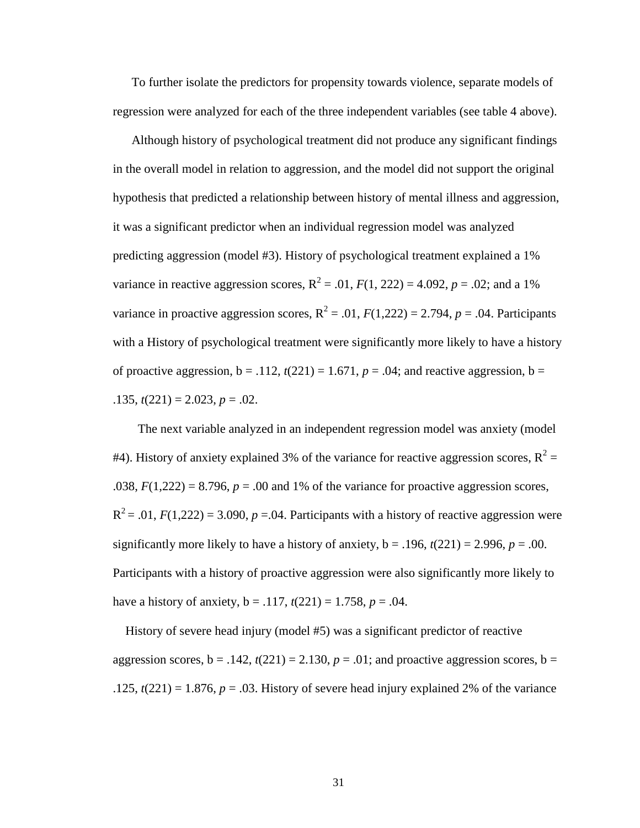To further isolate the predictors for propensity towards violence, separate models of regression were analyzed for each of the three independent variables (see table 4 above).

 Although history of psychological treatment did not produce any significant findings in the overall model in relation to aggression, and the model did not support the original hypothesis that predicted a relationship between history of mental illness and aggression, it was a significant predictor when an individual regression model was analyzed predicting aggression (model #3). History of psychological treatment explained a 1% variance in reactive aggression scores,  $R^2 = .01$ ,  $F(1, 222) = 4.092$ ,  $p = .02$ ; and a 1% variance in proactive aggression scores,  $R^2 = .01$ ,  $F(1,222) = 2.794$ ,  $p = .04$ . Participants with a History of psychological treatment were significantly more likely to have a history of proactive aggression,  $b = .112$ ,  $t(221) = 1.671$ ,  $p = .04$ ; and reactive aggression,  $b =$  $.135, t(221) = 2.023, p = .02.$ 

 The next variable analyzed in an independent regression model was anxiety (model #4). History of anxiety explained 3% of the variance for reactive aggression scores,  $R^2 =$ .038,  $F(1,222) = 8.796$ ,  $p = .00$  and 1% of the variance for proactive aggression scores,  $R^2$  = .01,  $F(1,222)$  = 3.090,  $p$  = .04. Participants with a history of reactive aggression were significantly more likely to have a history of anxiety,  $b = .196$ ,  $t(221) = 2.996$ ,  $p = .00$ . Participants with a history of proactive aggression were also significantly more likely to have a history of anxiety,  $b = .117$ ,  $t(221) = 1.758$ ,  $p = .04$ .

 History of severe head injury (model #5) was a significant predictor of reactive aggression scores,  $b = .142$ ,  $t(221) = 2.130$ ,  $p = .01$ ; and proactive aggression scores,  $b =$ .125,  $t(221) = 1.876$ ,  $p = .03$ . History of severe head injury explained 2% of the variance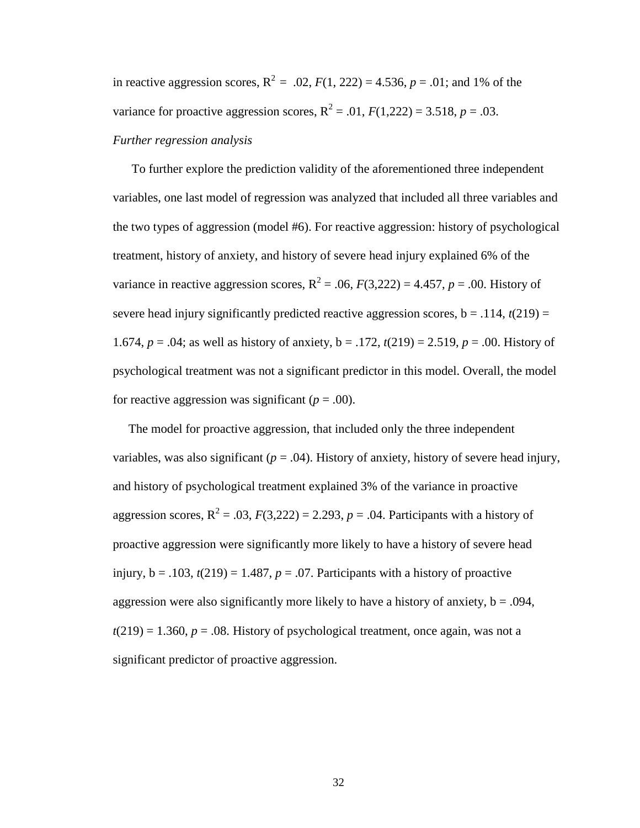in reactive aggression scores,  $R^2 = .02$ ,  $F(1, 222) = 4.536$ ,  $p = .01$ ; and 1% of the variance for proactive aggression scores,  $R^2 = .01$ ,  $F(1,222) = 3.518$ ,  $p = .03$ .

### *Further regression analysis*

 To further explore the prediction validity of the aforementioned three independent variables, one last model of regression was analyzed that included all three variables and the two types of aggression (model #6). For reactive aggression: history of psychological treatment, history of anxiety, and history of severe head injury explained 6% of the variance in reactive aggression scores,  $R^2 = .06$ ,  $F(3,222) = 4.457$ ,  $p = .00$ . History of severe head injury significantly predicted reactive aggression scores,  $b = .114$ ,  $t(219) =$ 1.674,  $p = .04$ ; as well as history of anxiety,  $b = .172$ ,  $t(219) = 2.519$ ,  $p = .00$ . History of psychological treatment was not a significant predictor in this model. Overall, the model for reactive aggression was significant  $(p = .00)$ .

 The model for proactive aggression, that included only the three independent variables, was also significant  $(p = .04)$ . History of anxiety, history of severe head injury, and history of psychological treatment explained 3% of the variance in proactive aggression scores,  $R^2 = .03$ ,  $F(3,222) = 2.293$ ,  $p = .04$ . Participants with a history of proactive aggression were significantly more likely to have a history of severe head injury,  $b = .103$ ,  $t(219) = 1.487$ ,  $p = .07$ . Participants with a history of proactive aggression were also significantly more likely to have a history of anxiety,  $b = .094$ ,  $t(219) = 1.360$ ,  $p = .08$ . History of psychological treatment, once again, was not a significant predictor of proactive aggression.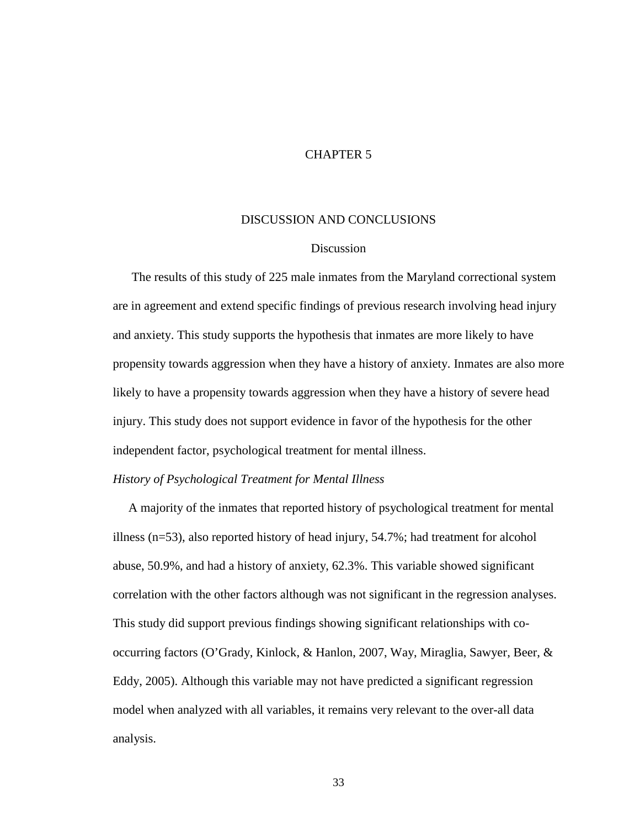### CHAPTER 5

### DISCUSSION AND CONCLUSIONS

### Discussion

The results of this study of 225 male inmates from the Maryland correctional system are in agreement and extend specific findings of previous research involving head injury and anxiety. This study supports the hypothesis that inmates are more likely to have propensity towards aggression when they have a history of anxiety. Inmates are also more likely to have a propensity towards aggression when they have a history of severe head injury. This study does not support evidence in favor of the hypothesis for the other independent factor, psychological treatment for mental illness.

### *History of Psychological Treatment for Mental Illness*

 A majority of the inmates that reported history of psychological treatment for mental illness (n=53), also reported history of head injury, 54.7%; had treatment for alcohol abuse, 50.9%, and had a history of anxiety, 62.3%. This variable showed significant correlation with the other factors although was not significant in the regression analyses. This study did support previous findings showing significant relationships with cooccurring factors (O'Grady, Kinlock, & Hanlon, 2007, Way, Miraglia, Sawyer, Beer, & Eddy, 2005). Although this variable may not have predicted a significant regression model when analyzed with all variables, it remains very relevant to the over-all data analysis.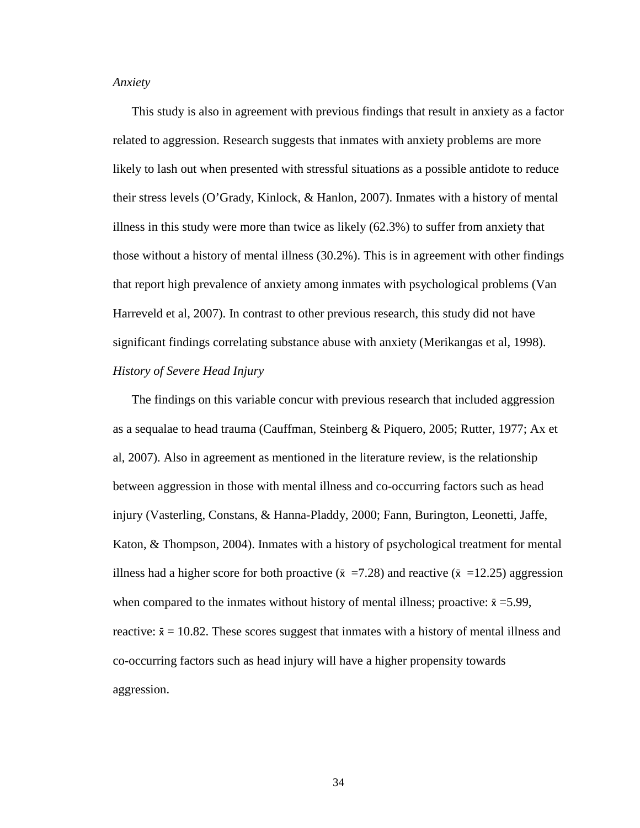*Anxiety* 

This study is also in agreement with previous findings that result in anxiety as a factor related to aggression. Research suggests that inmates with anxiety problems are more likely to lash out when presented with stressful situations as a possible antidote to reduce their stress levels (O'Grady, Kinlock, & Hanlon, 2007). Inmates with a history of mental illness in this study were more than twice as likely (62.3%) to suffer from anxiety that those without a history of mental illness (30.2%). This is in agreement with other findings that report high prevalence of anxiety among inmates with psychological problems (Van Harreveld et al, 2007). In contrast to other previous research, this study did not have significant findings correlating substance abuse with anxiety (Merikangas et al, 1998). *History of Severe Head Injury* 

 The findings on this variable concur with previous research that included aggression as a sequalae to head trauma (Cauffman, Steinberg & Piquero, 2005; Rutter, 1977; Ax et al, 2007). Also in agreement as mentioned in the literature review, is the relationship between aggression in those with mental illness and co-occurring factors such as head injury (Vasterling, Constans, & Hanna-Pladdy, 2000; Fann, Burington, Leonetti, Jaffe, Katon, & Thompson, 2004). Inmates with a history of psychological treatment for mental illness had a higher score for both proactive ( $\bar{x}$  =7.28) and reactive ( $\bar{x}$  =12.25) aggression when compared to the inmates without history of mental illness; proactive:  $\bar{x} = 5.99$ , reactive:  $\bar{x} = 10.82$ . These scores suggest that inmates with a history of mental illness and co-occurring factors such as head injury will have a higher propensity towards aggression.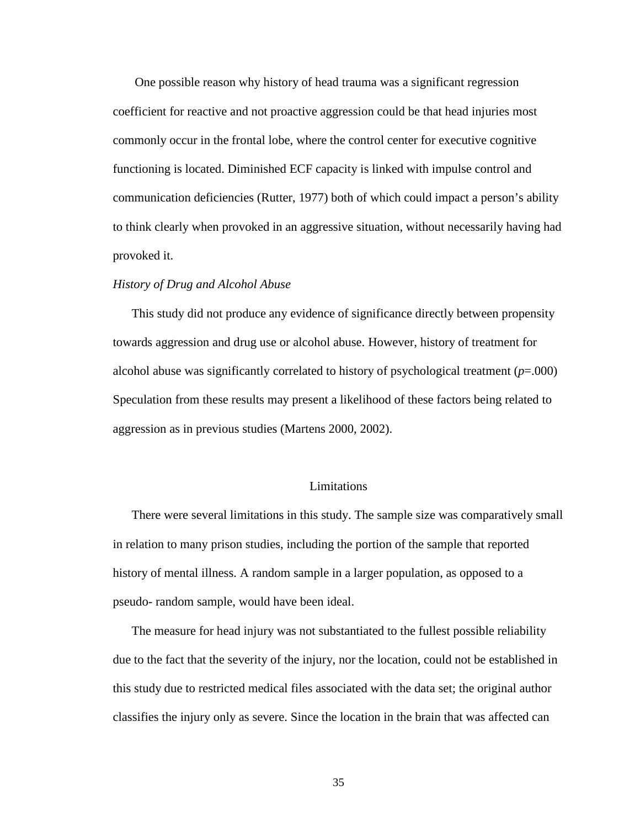One possible reason why history of head trauma was a significant regression coefficient for reactive and not proactive aggression could be that head injuries most commonly occur in the frontal lobe, where the control center for executive cognitive functioning is located. Diminished ECF capacity is linked with impulse control and communication deficiencies (Rutter, 1977) both of which could impact a person's ability to think clearly when provoked in an aggressive situation, without necessarily having had provoked it.

#### *History of Drug and Alcohol Abuse*

This study did not produce any evidence of significance directly between propensity towards aggression and drug use or alcohol abuse. However, history of treatment for alcohol abuse was significantly correlated to history of psychological treatment (*p*=.000) Speculation from these results may present a likelihood of these factors being related to aggression as in previous studies (Martens 2000, 2002).

### Limitations

There were several limitations in this study. The sample size was comparatively small in relation to many prison studies, including the portion of the sample that reported history of mental illness. A random sample in a larger population, as opposed to a pseudo- random sample, would have been ideal.

The measure for head injury was not substantiated to the fullest possible reliability due to the fact that the severity of the injury, nor the location, could not be established in this study due to restricted medical files associated with the data set; the original author classifies the injury only as severe. Since the location in the brain that was affected can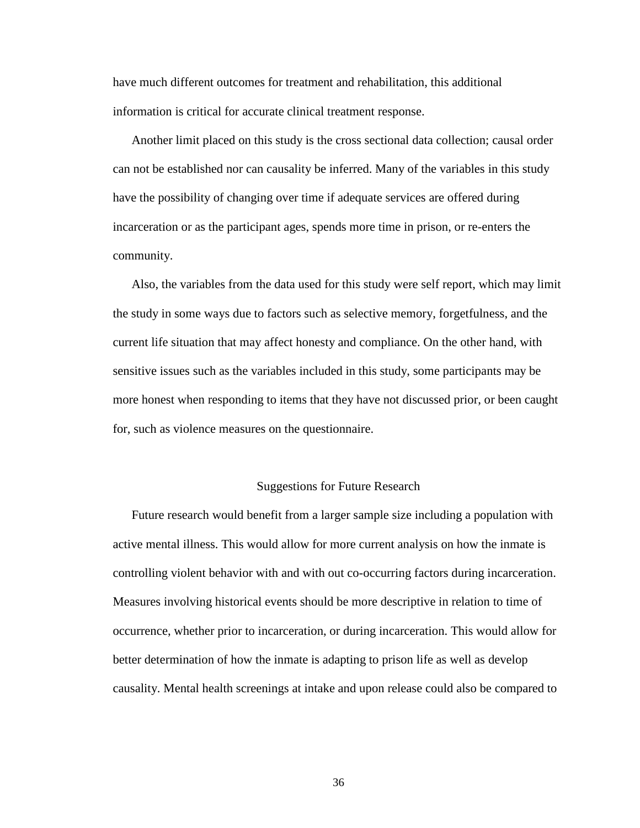have much different outcomes for treatment and rehabilitation, this additional information is critical for accurate clinical treatment response.

Another limit placed on this study is the cross sectional data collection; causal order can not be established nor can causality be inferred. Many of the variables in this study have the possibility of changing over time if adequate services are offered during incarceration or as the participant ages, spends more time in prison, or re-enters the community.

Also, the variables from the data used for this study were self report, which may limit the study in some ways due to factors such as selective memory, forgetfulness, and the current life situation that may affect honesty and compliance. On the other hand, with sensitive issues such as the variables included in this study, some participants may be more honest when responding to items that they have not discussed prior, or been caught for, such as violence measures on the questionnaire.

### Suggestions for Future Research

Future research would benefit from a larger sample size including a population with active mental illness. This would allow for more current analysis on how the inmate is controlling violent behavior with and with out co-occurring factors during incarceration. Measures involving historical events should be more descriptive in relation to time of occurrence, whether prior to incarceration, or during incarceration. This would allow for better determination of how the inmate is adapting to prison life as well as develop causality. Mental health screenings at intake and upon release could also be compared to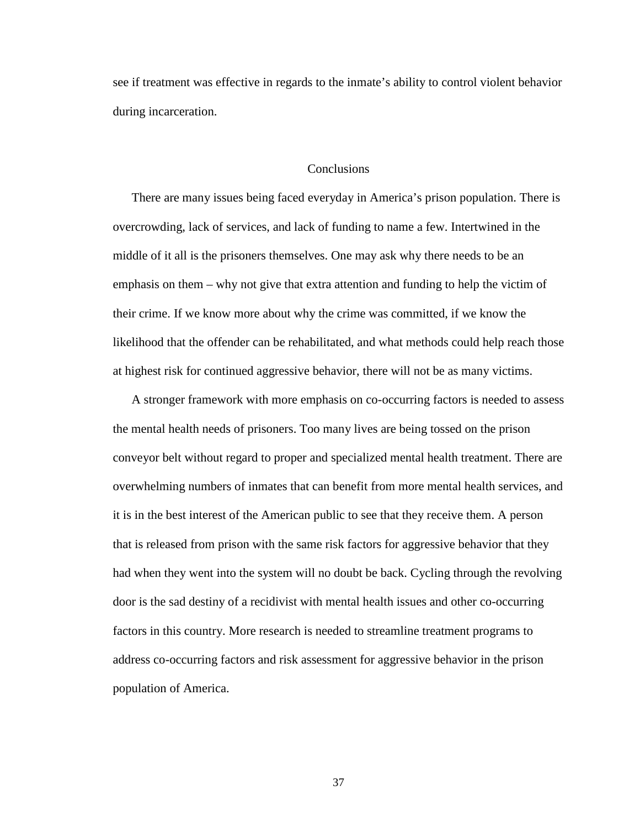see if treatment was effective in regards to the inmate's ability to control violent behavior during incarceration.

#### **Conclusions**

There are many issues being faced everyday in America's prison population. There is overcrowding, lack of services, and lack of funding to name a few. Intertwined in the middle of it all is the prisoners themselves. One may ask why there needs to be an emphasis on them – why not give that extra attention and funding to help the victim of their crime. If we know more about why the crime was committed, if we know the likelihood that the offender can be rehabilitated, and what methods could help reach those at highest risk for continued aggressive behavior, there will not be as many victims.

A stronger framework with more emphasis on co-occurring factors is needed to assess the mental health needs of prisoners. Too many lives are being tossed on the prison conveyor belt without regard to proper and specialized mental health treatment. There are overwhelming numbers of inmates that can benefit from more mental health services, and it is in the best interest of the American public to see that they receive them. A person that is released from prison with the same risk factors for aggressive behavior that they had when they went into the system will no doubt be back. Cycling through the revolving door is the sad destiny of a recidivist with mental health issues and other co-occurring factors in this country. More research is needed to streamline treatment programs to address co-occurring factors and risk assessment for aggressive behavior in the prison population of America.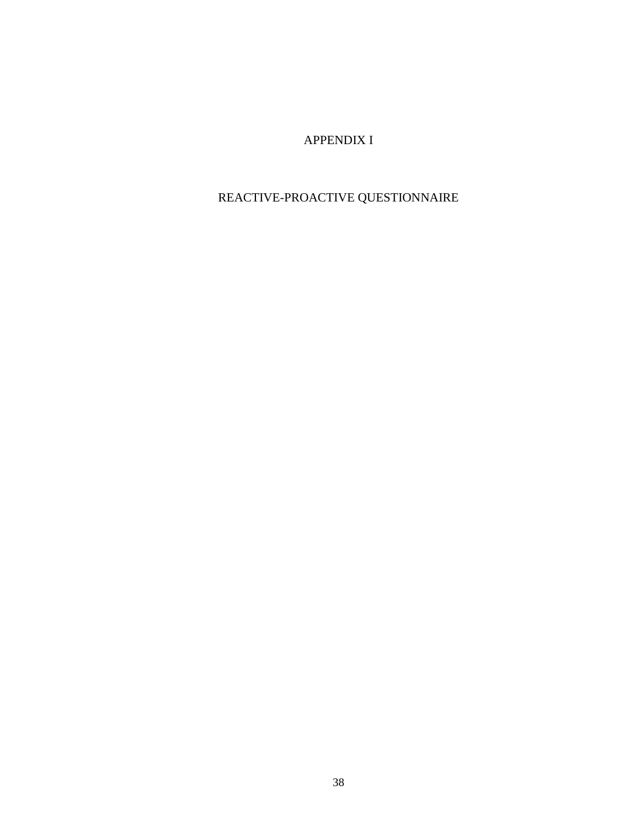### APPENDIX I

### REACTIVE-PROACTIVE QUESTIONNAIRE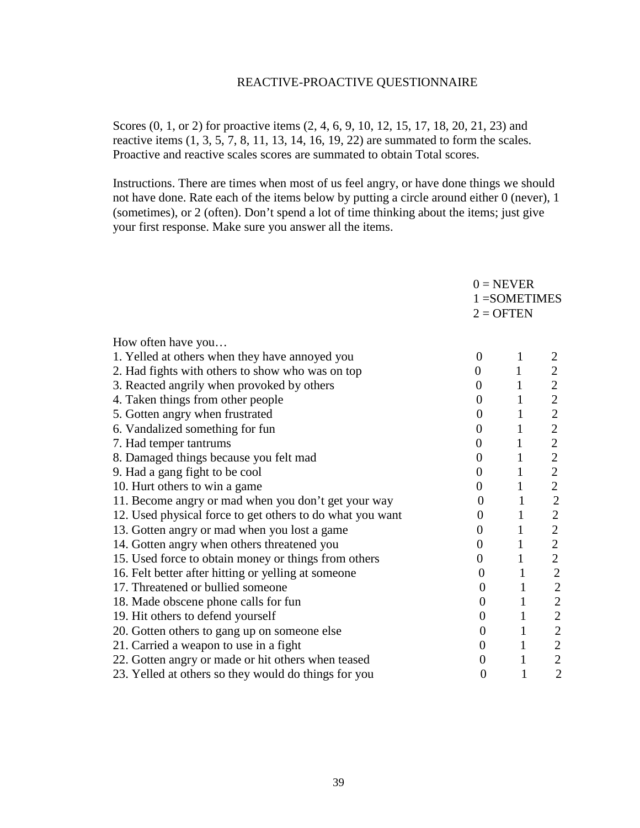### REACTIVE-PROACTIVE QUESTIONNAIRE

Scores (0, 1, or 2) for proactive items (2, 4, 6, 9, 10, 12, 15, 17, 18, 20, 21, 23) and reactive items  $(1, 3, 5, 7, 8, 11, 13, 14, 16, 19, 22)$  are summated to form the scales. Proactive and reactive scales scores are summated to obtain Total scores.

Instructions. There are times when most of us feel angry, or have done things we should not have done. Rate each of the items below by putting a circle around either 0 (never), 1 (sometimes), or 2 (often). Don't spend a lot of time thinking about the items; just give your first response. Make sure you answer all the items.

|                                                           |                  | $0 = NEVER$<br>$1 = SOMETIMES$ |                |
|-----------------------------------------------------------|------------------|--------------------------------|----------------|
|                                                           |                  |                                |                |
|                                                           |                  | $2 = OPTEN$                    |                |
|                                                           |                  |                                |                |
| How often have you                                        |                  |                                |                |
| 1. Yelled at others when they have annoyed you            | $\overline{0}$   | $\mathbf{1}$                   |                |
| 2. Had fights with others to show who was on top          | $\boldsymbol{0}$ | $\mathbf{1}$                   | $\overline{2}$ |
| 3. Reacted angrily when provoked by others                | $\overline{0}$   | $\mathbf{1}$                   | $\mathbf{2}$   |
| 4. Taken things from other people                         | $\boldsymbol{0}$ | $\mathbf{1}$                   | $\overline{2}$ |
| 5. Gotten angry when frustrated                           | $\overline{0}$   | $\mathbf{1}$                   | $\overline{2}$ |
| 6. Vandalized something for fun                           | $\overline{0}$   | $\mathbf{1}$                   | $\overline{2}$ |
| 7. Had temper tantrums                                    | $\overline{0}$   | $\mathbf{1}$                   | $\mathbf{2}$   |
| 8. Damaged things because you felt mad                    | $\boldsymbol{0}$ | $\mathbf{1}$                   | $\overline{c}$ |
| 9. Had a gang fight to be cool                            | $\boldsymbol{0}$ | $\mathbf{1}$                   | $\overline{2}$ |
| 10. Hurt others to win a game                             | $\boldsymbol{0}$ | $\mathbf{1}$                   | $\overline{2}$ |
| 11. Become angry or mad when you don't get your way       | $\theta$         | $\mathbf{1}$                   | $\mathbf{2}$   |
| 12. Used physical force to get others to do what you want | $\overline{0}$   | $\mathbf{1}$                   | $\mathbf{2}$   |
| 13. Gotten angry or mad when you lost a game              | $\overline{0}$   | $\mathbf{1}$                   | $\overline{2}$ |
| 14. Gotten angry when others threatened you               | $\boldsymbol{0}$ | $\mathbf{1}$                   | $\overline{2}$ |
| 15. Used force to obtain money or things from others      | $\boldsymbol{0}$ | $\mathbf{1}$                   | $\mathbf{2}$   |
| 16. Felt better after hitting or yelling at someone       | $\boldsymbol{0}$ | $\mathbf{1}$                   | $\sqrt{2}$     |
| 17. Threatened or bullied someone                         | $\boldsymbol{0}$ | $\mathbf{1}$                   | $\sqrt{2}$     |
| 18. Made obscene phone calls for fun                      | $\boldsymbol{0}$ | $\mathbf{1}$                   | $\overline{c}$ |
| 19. Hit others to defend yourself                         | $\boldsymbol{0}$ | $\mathbf{1}$                   | $\overline{c}$ |
| 20. Gotten others to gang up on someone else              | $\boldsymbol{0}$ | $\mathbf{1}$                   |                |
| 21. Carried a weapon to use in a fight                    | $\boldsymbol{0}$ | $\mathbf{1}$                   | $\frac{2}{2}$  |
| 22. Gotten angry or made or hit others when teased        | $\boldsymbol{0}$ | $\mathbf{1}$                   | $\overline{c}$ |
| 23. Yelled at others so they would do things for you      | $\overline{0}$   | $\mathbf{1}$                   | $\overline{2}$ |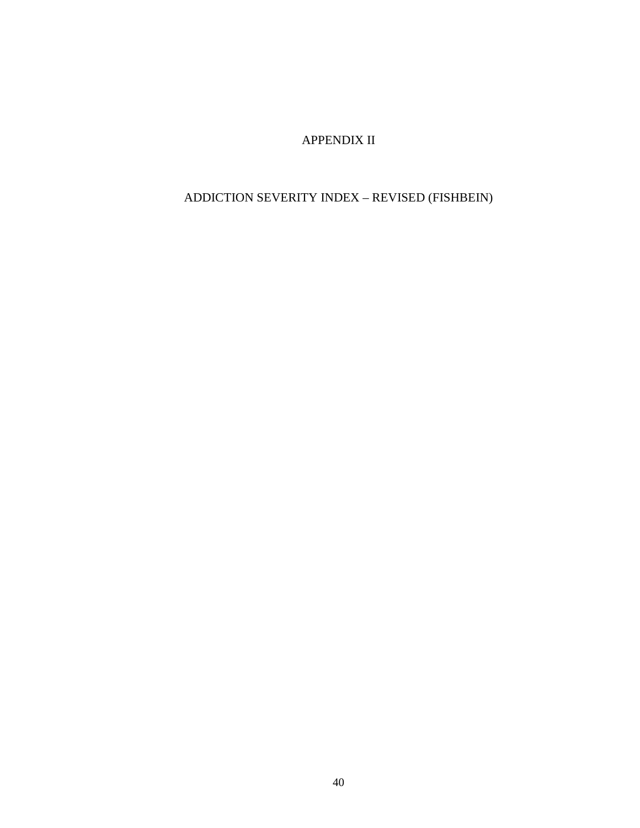APPENDIX II

### ADDICTION SEVERITY INDEX – REVISED (FISHBEIN)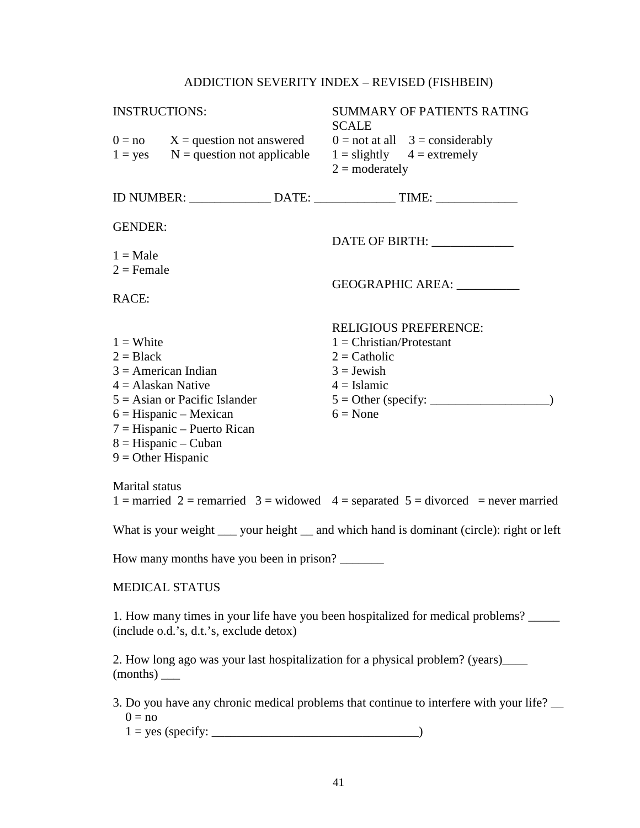### ADDICTION SEVERITY INDEX – REVISED (FISHBEIN)

| <b>INSTRUCTIONS:</b>      |                                          | SUMMARY OF PATIENTS RATING<br><b>SCALE</b>                                                     |
|---------------------------|------------------------------------------|------------------------------------------------------------------------------------------------|
|                           | $0 = no$ $X = question not answered$     | $0 = \text{not at all}$ 3 = considerably                                                       |
|                           |                                          | $1 = yes$ N = question not applicable $1 =$ slightly $4 =$ extremely                           |
|                           |                                          | $2 =$ moderately                                                                               |
|                           |                                          | ID NUMBER: ________________ DATE: _________________ TIME: ______________________               |
| <b>GENDER:</b>            |                                          |                                                                                                |
|                           |                                          | DATE OF BIRTH: _____________                                                                   |
| $1 = Male$                |                                          |                                                                                                |
| $2 =$ Female              |                                          | GEOGRAPHIC AREA:                                                                               |
| RACE:                     |                                          |                                                                                                |
|                           |                                          |                                                                                                |
|                           |                                          | <b>RELIGIOUS PREFERENCE:</b>                                                                   |
| $1 =$ White               |                                          | $1 = Christian/Protestant$                                                                     |
| $2 = Black$               |                                          | $2 =$ Catholic                                                                                 |
| $3 =$ American Indian     |                                          | $3 =$ Jewish                                                                                   |
| $4 =$ Alaskan Native      | $5 =$ Asian or Pacific Islander          | $4 = Islamic$                                                                                  |
|                           | $6 = Hispanic - Mexican$                 | $6 = None$                                                                                     |
|                           | $7 =$ Hispanic – Puerto Rican            |                                                                                                |
|                           | $8 =$ Hispanic – Cuban                   |                                                                                                |
| $9 =$ Other Hispanic      |                                          |                                                                                                |
| <b>Marital</b> status     |                                          |                                                                                                |
|                           |                                          | 1 = married 2 = remarried 3 = widowed 4 = separated $5 =$ divorced = never married             |
|                           |                                          | What is your weight _____ your height _____ and which hand is dominant (circle): right or left |
|                           | How many months have you been in prison? |                                                                                                |
|                           | <b>MEDICAL STATUS</b>                    |                                                                                                |
|                           | (include o.d.'s, d.t.'s, exclude detox)  | 1. How many times in your life have you been hospitalized for medical problems?                |
| $(months)$ <sub>___</sub> |                                          | 2. How long ago was your last hospitalization for a physical problem? (years)____              |
| $0 = no$                  |                                          | 3. Do you have any chronic medical problems that continue to interfere with your life? __      |
|                           | $1 = yes (specificity: ____________$     |                                                                                                |
|                           |                                          |                                                                                                |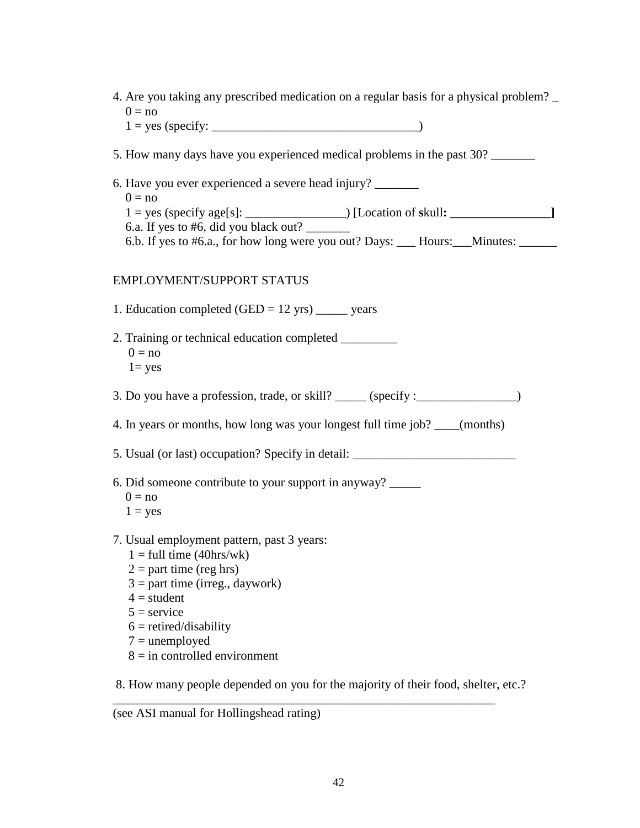| 4. Are you taking any prescribed medication on a regular basis for a physical problem?<br>$0 = no$                                                                                |
|-----------------------------------------------------------------------------------------------------------------------------------------------------------------------------------|
|                                                                                                                                                                                   |
| 5. How many days have you experienced medical problems in the past 30?                                                                                                            |
| 6. Have you ever experienced a severe head injury?<br>$0 = no$                                                                                                                    |
| 6.a. If yes to #6, did you black out?                                                                                                                                             |
| 6.b. If yes to #6.a., for how long were you out? Days: ___ Hours: __Minutes: _____                                                                                                |
| <b>EMPLOYMENT/SUPPORT STATUS</b>                                                                                                                                                  |
| 1. Education completed $(GED = 12 \text{ yrs})$ _______ years                                                                                                                     |
| $0 = no$<br>$1 = yes$                                                                                                                                                             |
| 3. Do you have a profession, trade, or skill? _____ (specify : _______________)                                                                                                   |
| 4. In years or months, how long was your longest full time job? ____(months)                                                                                                      |
| 5. Usual (or last) occupation? Specify in detail: _______________________________                                                                                                 |
| 6. Did someone contribute to your support in anyway?<br>$0 = no$                                                                                                                  |
| $1 = yes$                                                                                                                                                                         |
| 7. Usual employment pattern, past 3 years:<br>$1 = \text{full time} (40 \text{hrs}/\text{wk})$<br>$2 =$ part time (reg hrs)<br>$3 =$ part time (irreg., daywork)<br>$4 = student$ |
| $5 =$ service                                                                                                                                                                     |
| $6 = retired/disability$<br>$7 =$ unemployed                                                                                                                                      |
| $8 =$ in controlled environment                                                                                                                                                   |

8. How many people depended on you for the majority of their food, shelter, etc.?

\_\_\_\_\_\_\_\_\_\_\_\_\_\_\_\_\_\_\_\_\_\_\_\_\_\_\_\_\_\_\_\_\_\_\_\_\_\_\_\_\_\_\_\_\_\_\_\_\_\_\_\_\_\_\_\_\_\_\_\_\_

(see ASI manual for Hollingshead rating)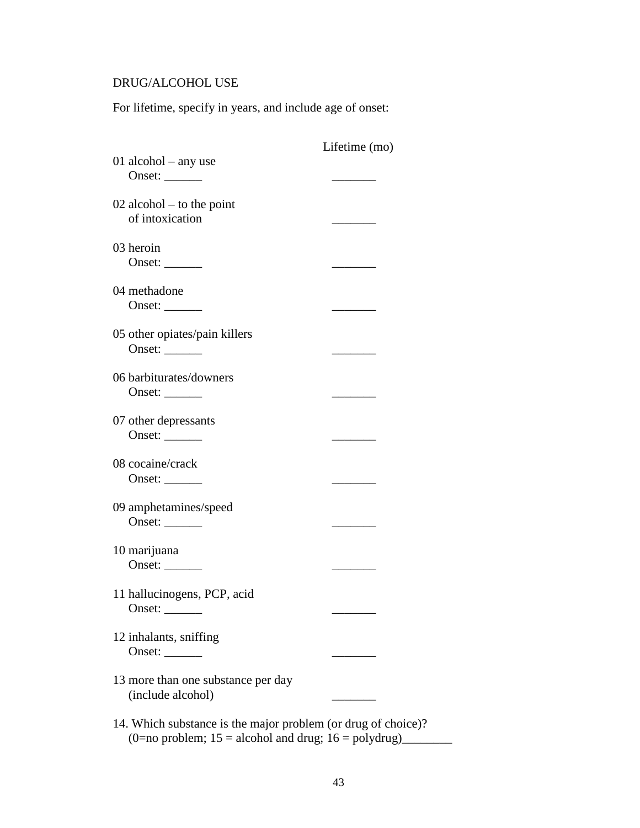### DRUG/ALCOHOL USE

For lifetime, specify in years, and include age of onset:

|                                                               | Lifetime (mo) |
|---------------------------------------------------------------|---------------|
| 01 alcohol $-$ any use                                        |               |
| Onset:                                                        |               |
| $02$ alcohol – to the point<br>of intoxication                |               |
| 03 heroin<br>Onset: $\_\_$                                    |               |
| 04 methadone<br>Onset: $\_\_$                                 |               |
| 05 other opiates/pain killers                                 |               |
| Onset:                                                        |               |
| 06 barbiturates/downers<br>Onset: $\_\_$                      |               |
| 07 other depressants<br>Onset: $\_\_$                         |               |
| 08 cocaine/crack<br>Onset: $\_\_$                             |               |
| 09 amphetamines/speed<br>Onset: $\_\_$                        |               |
|                                                               |               |
| 10 marijuana<br>Onset: $\_\_$                                 |               |
| 11 hallucinogens, PCP, acid<br>Onset: $\_\_$                  |               |
| 12 inhalants, sniffing<br>Onset: $\_\_$                       |               |
| 13 more than one substance per day<br>(include alcohol)       |               |
| 14. Which substance is the major problem (or drug of choice)? |               |

(0=no problem; 15 = alcohol and drug; 16 = polydrug)\_\_\_\_\_\_\_\_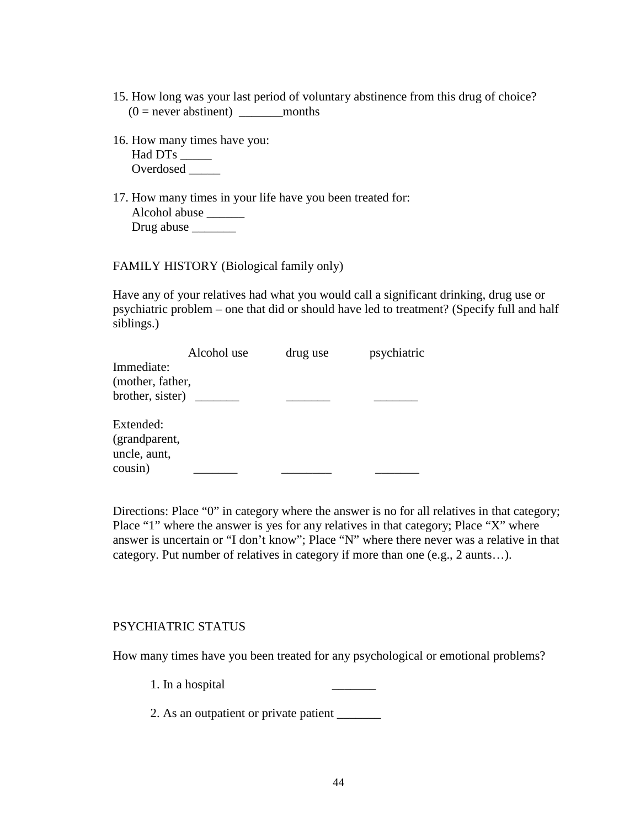- 15. How long was your last period of voluntary abstinence from this drug of choice?  $(0 =$  never abstinent) months
- 16. How many times have you: Had DTs \_\_\_\_\_\_ Overdosed \_\_\_\_\_
- 17. How many times in your life have you been treated for: Alcohol abuse \_\_\_\_\_\_ Drug abuse \_\_\_\_\_\_\_\_\_

FAMILY HISTORY (Biological family only)

Have any of your relatives had what you would call a significant drinking, drug use or psychiatric problem – one that did or should have led to treatment? (Specify full and half siblings.)

|                  | Alcohol use | drug use | psychiatric |
|------------------|-------------|----------|-------------|
| Immediate:       |             |          |             |
| (mother, father, |             |          |             |
| brother, sister) |             |          |             |
| Extended:        |             |          |             |
| (grandparent,    |             |          |             |
| uncle, aunt,     |             |          |             |
| cousin)          |             |          |             |

Directions: Place "0" in category where the answer is no for all relatives in that category; Place "1" where the answer is yes for any relatives in that category; Place "X" where answer is uncertain or "I don't know"; Place "N" where there never was a relative in that category. Put number of relatives in category if more than one (e.g., 2 aunts…).

#### PSYCHIATRIC STATUS

How many times have you been treated for any psychological or emotional problems?

1. In a hospital

2. As an outpatient or private patient \_\_\_\_\_\_\_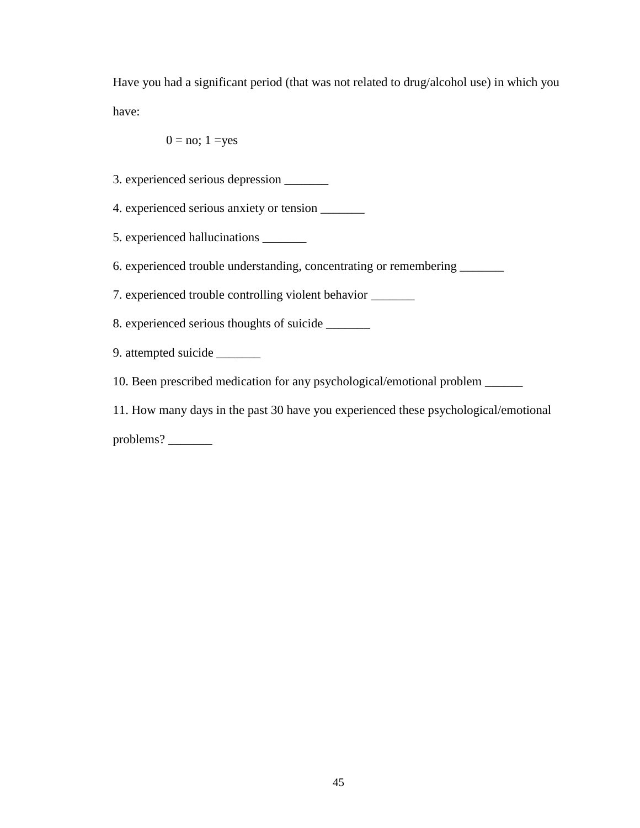Have you had a significant period (that was not related to drug/alcohol use) in which you have:

$$
0 = \text{no}; 1 = \text{yes}
$$

- 3. experienced serious depression \_\_\_\_\_\_\_
- 4. experienced serious anxiety or tension \_\_\_\_\_\_\_
- 5. experienced hallucinations \_\_\_\_\_\_\_
- 6. experienced trouble understanding, concentrating or remembering \_\_\_\_\_\_\_

7. experienced trouble controlling violent behavior \_\_\_\_\_\_\_

- 8. experienced serious thoughts of suicide \_\_\_\_\_\_\_
- 9. attempted suicide \_\_\_\_\_\_\_
- 10. Been prescribed medication for any psychological/emotional problem \_\_\_\_\_\_
- 11. How many days in the past 30 have you experienced these psychological/emotional

problems?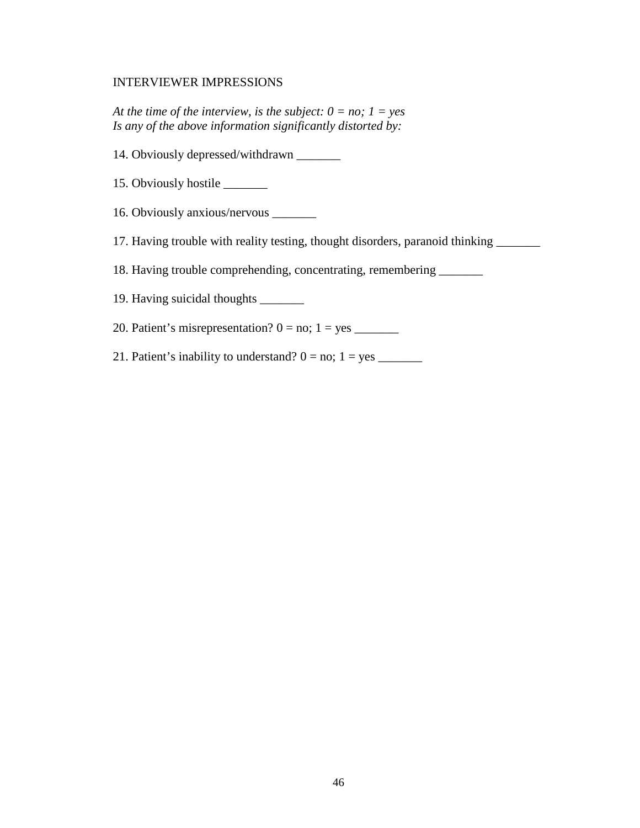### INTERVIEWER IMPRESSIONS

*At the time of the interview, is the subject:*  $0 = no$ ;  $1 = yes$ *Is any of the above information significantly distorted by:* 

- 14. Obviously depressed/withdrawn \_\_\_\_\_\_\_
- 15. Obviously hostile \_\_\_\_\_\_\_
- 16. Obviously anxious/nervous \_\_\_\_\_\_\_
- 17. Having trouble with reality testing, thought disorders, paranoid thinking \_\_\_\_\_\_\_

18. Having trouble comprehending, concentrating, remembering \_\_\_\_\_\_\_

19. Having suicidal thoughts \_\_\_\_\_\_\_

20. Patient's misrepresentation? 0 = no; 1 = yes \_\_\_\_\_\_\_

21. Patient's inability to understand? 0 = no; 1 = yes \_\_\_\_\_\_\_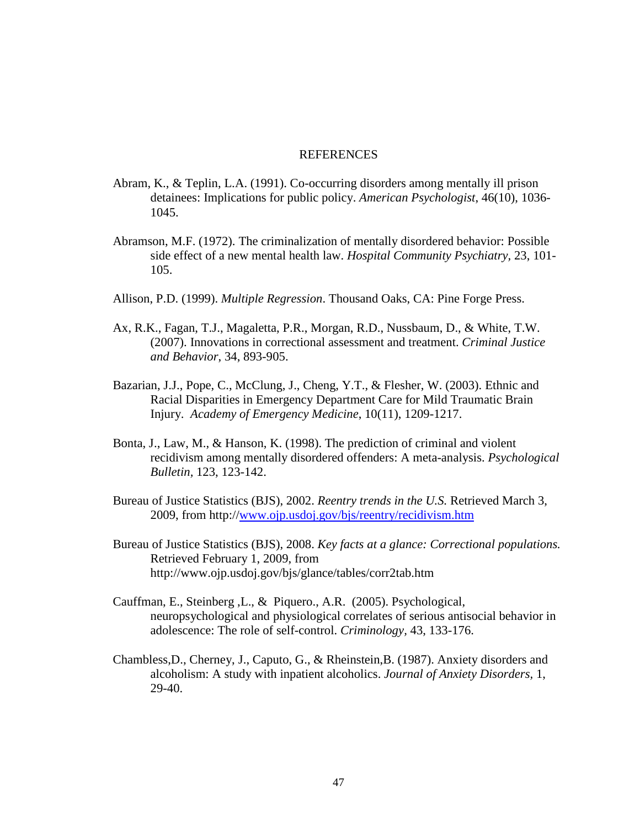### **REFERENCES**

- Abram, K., & Teplin, L.A. (1991). Co-occurring disorders among mentally ill prison detainees: Implications for public policy. *American Psychologist*, 46(10), 1036- 1045.
- Abramson, M.F. (1972). The criminalization of mentally disordered behavior: Possible side effect of a new mental health law. *Hospital Community Psychiatry,* 23, 101- 105.
- Allison, P.D. (1999). *Multiple Regression*. Thousand Oaks, CA: Pine Forge Press.
- Ax, R.K., Fagan, T.J., Magaletta, P.R., Morgan, R.D., Nussbaum, D., & White, T.W. (2007). Innovations in correctional assessment and treatment. *Criminal Justice and Behavior*, 34, 893-905.
- Bazarian, J.J., Pope, C., McClung, J., Cheng, Y.T., & Flesher, W. (2003). Ethnic and Racial Disparities in Emergency Department Care for Mild Traumatic Brain Injury. *Academy of Emergency Medicine*, 10(11), 1209-1217.
- Bonta, J., Law, M., & Hanson, K. (1998). The prediction of criminal and violent recidivism among mentally disordered offenders: A meta-analysis. *Psychological Bulletin,* 123, 123-142.
- Bureau of Justice Statistics (BJS), 2002. *Reentry trends in the U.S.* Retrieved March 3, 2009, from http://www.ojp.usdoj.gov/bjs/reentry/recidivism.htm
- Bureau of Justice Statistics (BJS), 2008. *Key facts at a glance: Correctional populations.*  Retrieved February 1, 2009, from http://www.ojp.usdoj.gov/bjs/glance/tables/corr2tab.htm
- Cauffman, E., Steinberg ,L., & Piquero., A.R. (2005). Psychological, neuropsychological and physiological correlates of serious antisocial behavior in adolescence: The role of self-control. *Criminology,* 43, 133-176.
- Chambless,D., Cherney, J., Caputo, G., & Rheinstein,B. (1987). Anxiety disorders and alcoholism: A study with inpatient alcoholics. *Journal of Anxiety Disorders,* 1, 29-40.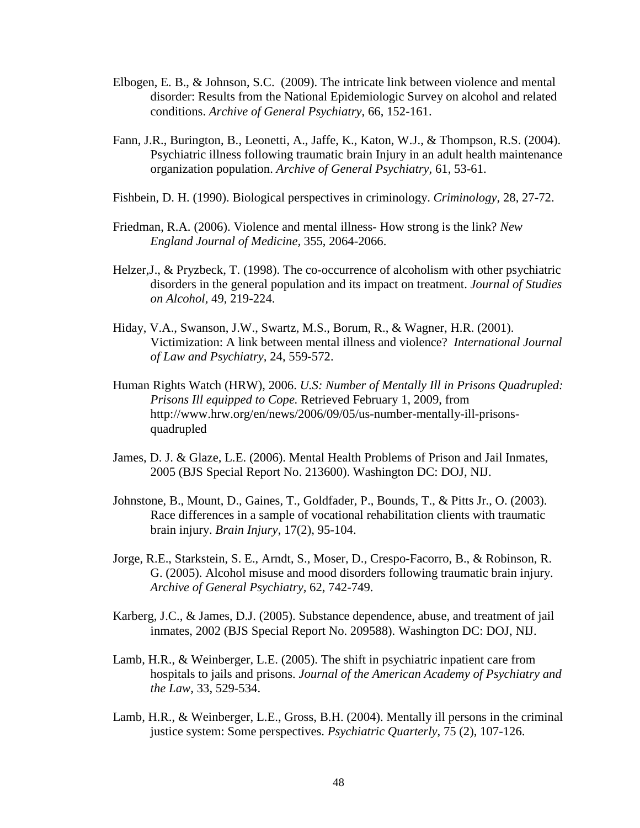- Elbogen, E. B., & Johnson, S.C. (2009). The intricate link between violence and mental disorder: Results from the National Epidemiologic Survey on alcohol and related conditions. *Archive of General Psychiatry*, 66, 152-161.
- Fann, J.R., Burington, B., Leonetti, A., Jaffe, K., Katon, W.J., & Thompson, R.S. (2004). Psychiatric illness following traumatic brain Injury in an adult health maintenance organization population. *Archive of General Psychiatry,* 61, 53-61.
- Fishbein, D. H. (1990). Biological perspectives in criminology. *Criminology,* 28, 27-72.
- Friedman, R.A. (2006). Violence and mental illness- How strong is the link? *New England Journal of Medicine,* 355, 2064-2066.
- Helzer,J., & Pryzbeck, T. (1998). The co-occurrence of alcoholism with other psychiatric disorders in the general population and its impact on treatment. *Journal of Studies on Alcohol,* 49, 219-224.
- Hiday, V.A., Swanson, J.W., Swartz, M.S., Borum, R., & Wagner, H.R. (2001). Victimization: A link between mental illness and violence? *International Journal of Law and Psychiatry,* 24, 559-572.
- Human Rights Watch (HRW), 2006. *U.S: Number of Mentally Ill in Prisons Quadrupled: Prisons Ill equipped to Cope.* Retrieved February 1, 2009, from http://www.hrw.org/en/news/2006/09/05/us-number-mentally-ill-prisonsquadrupled
- James, D. J. & Glaze, L.E. (2006). Mental Health Problems of Prison and Jail Inmates*,*  2005 (BJS Special Report No. 213600). Washington DC: DOJ, NIJ.
- Johnstone, B., Mount, D., Gaines, T., Goldfader, P., Bounds, T., & Pitts Jr., O. (2003). Race differences in a sample of vocational rehabilitation clients with traumatic brain injury. *Brain Injury*, 17(2), 95-104.
- Jorge, R.E., Starkstein, S. E., Arndt, S., Moser, D., Crespo-Facorro, B., & Robinson, R. G. (2005). Alcohol misuse and mood disorders following traumatic brain injury. *Archive of General Psychiatry,* 62, 742-749.
- Karberg, J.C., & James, D.J. (2005). Substance dependence, abuse, and treatment of jail inmates, 2002 (BJS Special Report No. 209588). Washington DC: DOJ, NIJ.
- Lamb, H.R., & Weinberger, L.E. (2005). The shift in psychiatric inpatient care from hospitals to jails and prisons. *Journal of the American Academy of Psychiatry and the Law,* 33, 529-534.
- Lamb, H.R., & Weinberger, L.E., Gross, B.H. (2004). Mentally ill persons in the criminal justice system: Some perspectives. *Psychiatric Quarterly*, 75 (2), 107-126.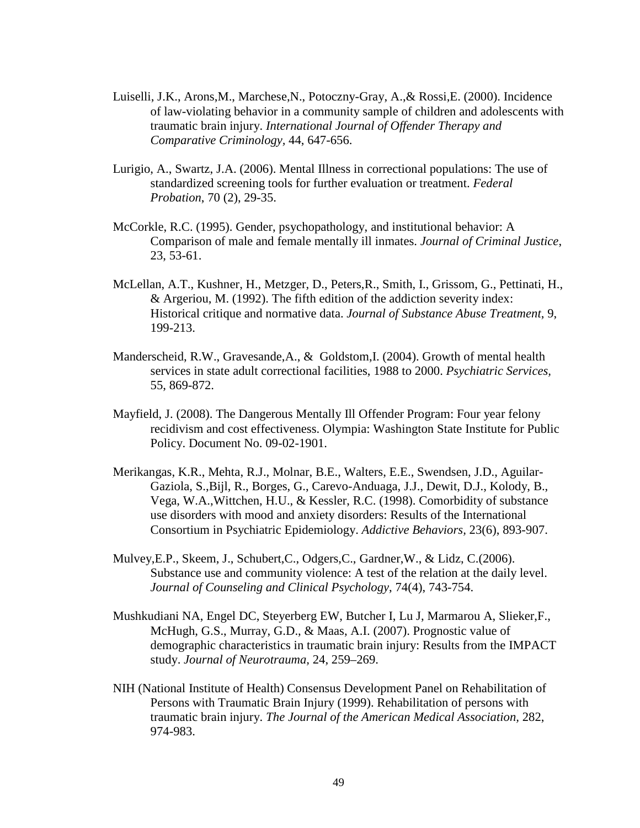- Luiselli, J.K., Arons,M., Marchese,N., Potoczny-Gray, A.,& Rossi,E. (2000). Incidence of law-violating behavior in a community sample of children and adolescents with traumatic brain injury. *International Journal of Offender Therapy and Comparative Criminology,* 44, 647-656.
- Lurigio, A., Swartz, J.A. (2006). Mental Illness in correctional populations: The use of standardized screening tools for further evaluation or treatment. *Federal Probation*, 70 (2), 29-35.
- McCorkle, R.C. (1995). Gender, psychopathology, and institutional behavior: A Comparison of male and female mentally ill inmates. *Journal of Criminal Justice*, 23, 53-61.
- McLellan, A.T., Kushner, H., Metzger, D., Peters,R., Smith, I., Grissom, G., Pettinati, H., & Argeriou, M. (1992). The fifth edition of the addiction severity index: Historical critique and normative data. *Journal of Substance Abuse Treatment*, 9, 199-213.
- Manderscheid, R.W., Gravesande,A., & Goldstom,I. (2004). Growth of mental health services in state adult correctional facilities, 1988 to 2000. *Psychiatric Services,* 55, 869-872.
- Mayfield, J. (2008). The Dangerous Mentally Ill Offender Program: Four year felony recidivism and cost effectiveness. Olympia: Washington State Institute for Public Policy. Document No. 09-02-1901.
- Merikangas, K.R., Mehta, R.J., Molnar, B.E., Walters, E.E., Swendsen, J.D., Aguilar-Gaziola, S.,Bijl, R., Borges, G., Carevo-Anduaga, J.J., Dewit, D.J., Kolody, B., Vega, W.A.,Wittchen, H.U., & Kessler, R.C. (1998). Comorbidity of substance use disorders with mood and anxiety disorders: Results of the International Consortium in Psychiatric Epidemiology. *Addictive Behaviors,* 23(6), 893-907.
- Mulvey,E.P., Skeem, J., Schubert,C., Odgers,C., Gardner,W., & Lidz, C.(2006). Substance use and community violence: A test of the relation at the daily level. *Journal of Counseling and Clinical Psychology*, 74(4), 743-754.
- Mushkudiani NA, Engel DC, Steyerberg EW, Butcher I, Lu J, Marmarou A, Slieker,F., McHugh, G.S., Murray, G.D., & Maas, A.I. (2007). Prognostic value of demographic characteristics in traumatic brain injury: Results from the IMPACT study. *Journal of Neurotrauma,* 24, 259–269.
- NIH (National Institute of Health) Consensus Development Panel on Rehabilitation of Persons with Traumatic Brain Injury (1999). Rehabilitation of persons with traumatic brain injury. *The Journal of the American Medical Association,* 282, 974-983.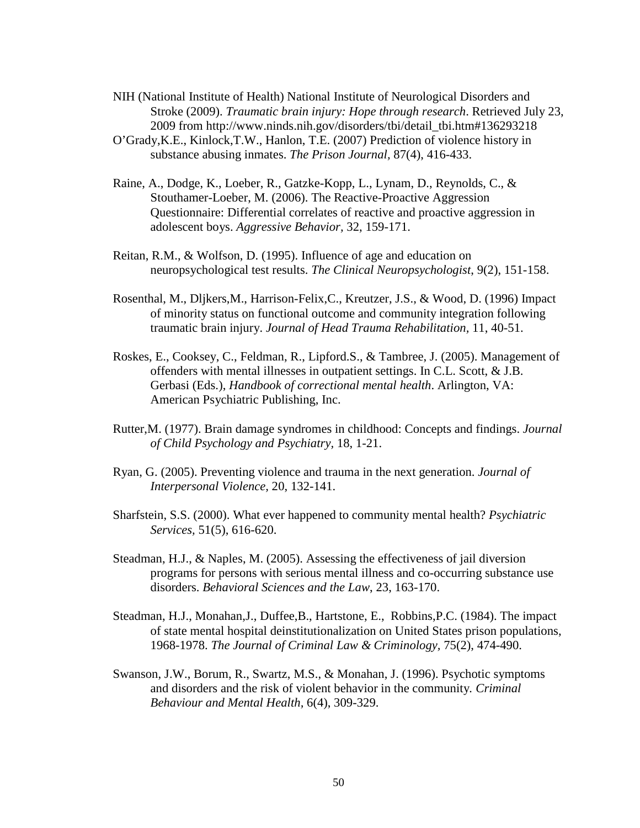NIH (National Institute of Health) National Institute of Neurological Disorders and Stroke (2009). *Traumatic brain injury: Hope through research*. Retrieved July 23, 2009 from http://www.ninds.nih.gov/disorders/tbi/detail\_tbi.htm#136293218

- O'Grady,K.E., Kinlock,T.W., Hanlon, T.E. (2007) Prediction of violence history in substance abusing inmates. *The Prison Journal,* 87(4), 416-433.
- Raine, A., Dodge, K., Loeber, R., Gatzke-Kopp, L., Lynam, D., Reynolds, C., & Stouthamer-Loeber, M. (2006). The Reactive-Proactive Aggression Questionnaire: Differential correlates of reactive and proactive aggression in adolescent boys. *Aggressive Behavior,* 32, 159-171.
- Reitan, R.M., & Wolfson, D. (1995). Influence of age and education on neuropsychological test results. *The Clinical Neuropsychologist*, 9(2), 151-158.
- Rosenthal, M., Dljkers,M., Harrison-Felix,C., Kreutzer, J.S., & Wood, D. (1996) Impact of minority status on functional outcome and community integration following traumatic brain injury. *Journal of Head Trauma Rehabilitation,* 11, 40-51.
- Roskes, E., Cooksey, C., Feldman, R., Lipford.S., & Tambree, J. (2005). Management of offenders with mental illnesses in outpatient settings. In C.L. Scott, & J.B. Gerbasi (Eds.), *Handbook of correctional mental health*. Arlington, VA: American Psychiatric Publishing, Inc.
- Rutter,M. (1977). Brain damage syndromes in childhood: Concepts and findings. *Journal of Child Psychology and Psychiatry,* 18, 1-21.
- Ryan, G. (2005). Preventing violence and trauma in the next generation. *Journal of Interpersonal Violence,* 20, 132-141.
- Sharfstein, S.S. (2000). What ever happened to community mental health? *Psychiatric Services,* 51(5), 616-620.
- Steadman, H.J., & Naples, M. (2005). Assessing the effectiveness of jail diversion programs for persons with serious mental illness and co-occurring substance use disorders. *Behavioral Sciences and the Law*, 23, 163-170.
- Steadman, H.J., Monahan,J., Duffee,B., Hartstone, E., Robbins,P.C. (1984). The impact of state mental hospital deinstitutionalization on United States prison populations, 1968-1978. *The Journal of Criminal Law & Criminology,* 75(2), 474-490.
- Swanson, J.W., Borum, R., Swartz, M.S., & Monahan, J. (1996). Psychotic symptoms and disorders and the risk of violent behavior in the community*. Criminal Behaviour and Mental Health,* 6(4), 309-329.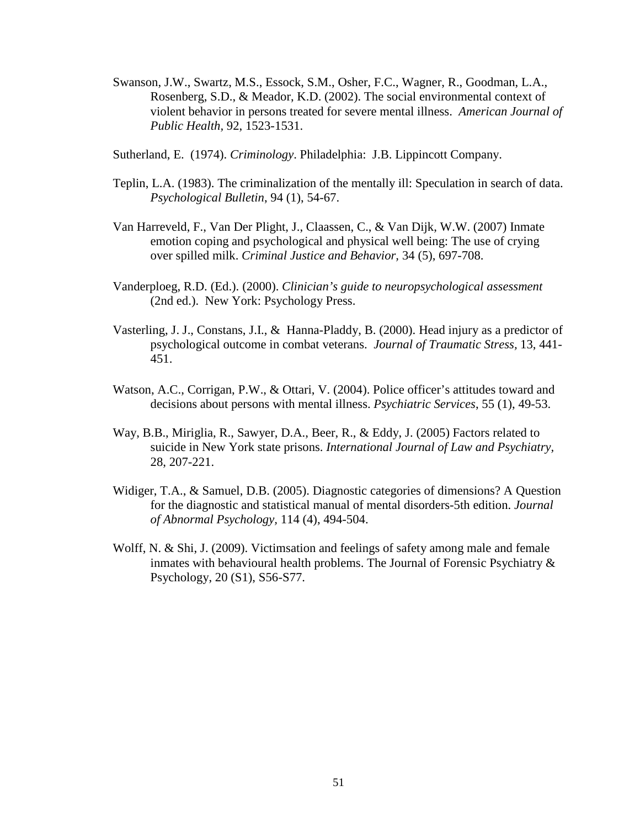- Swanson, J.W., Swartz, M.S., Essock, S.M., Osher, F.C., Wagner, R., Goodman, L.A., Rosenberg, S.D., & Meador, K.D. (2002). The social environmental context of violent behavior in persons treated for severe mental illness. *American Journal of Public Health,* 92, 1523-1531.
- Sutherland, E. (1974). *Criminology*. Philadelphia: J.B. Lippincott Company.
- Teplin, L.A. (1983). The criminalization of the mentally ill: Speculation in search of data. *Psychological Bulletin*, 94 (1), 54-67.
- Van Harreveld, F., Van Der Plight, J., Claassen, C., & Van Dijk, W.W. (2007) Inmate emotion coping and psychological and physical well being: The use of crying over spilled milk. *Criminal Justice and Behavior,* 34 (5), 697-708.
- Vanderploeg, R.D. (Ed.). (2000). *Clinician's guide to neuropsychological assessment* (2nd ed.). New York: Psychology Press.
- Vasterling, J. J., Constans, J.I., & Hanna-Pladdy, B. (2000). Head injury as a predictor of psychological outcome in combat veterans. *Journal of Traumatic Stress,* 13, 441- 451.
- Watson, A.C., Corrigan, P.W., & Ottari, V. (2004). Police officer's attitudes toward and decisions about persons with mental illness. *Psychiatric Services*, 55 (1), 49-53.
- Way, B.B., Miriglia, R., Sawyer, D.A., Beer, R., & Eddy, J. (2005) Factors related to suicide in New York state prisons. *International Journal of Law and Psychiatry,*  28, 207-221.
- Widiger, T.A., & Samuel, D.B. (2005). Diagnostic categories of dimensions? A Question for the diagnostic and statistical manual of mental disorders-5th edition. *Journal of Abnormal Psychology,* 114 (4), 494-504.
- Wolff, N. & Shi, J. (2009). Victimsation and feelings of safety among male and female inmates with behavioural health problems. The Journal of Forensic Psychiatry & Psychology, 20 (S1), S56-S77.